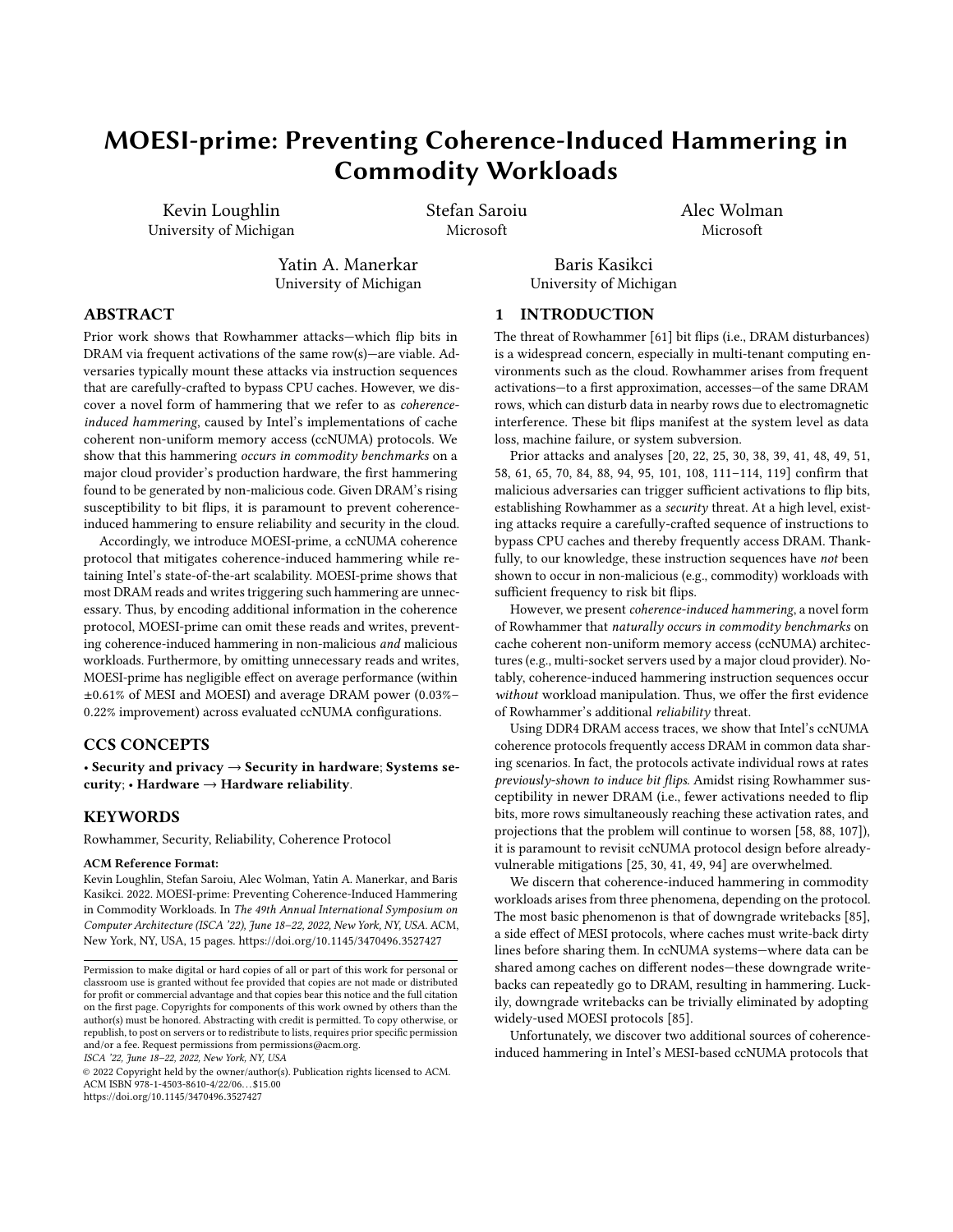# MOESI-prime: Preventing Coherence-Induced Hammering in Commodity Workloads

Kevin Loughlin University of Michigan Stefan Saroiu Microsoft

Alec Wolman Microsoft

Yatin A. Manerkar University of Michigan

Baris Kasikci University of Michigan

# ABSTRACT

Prior work shows that Rowhammer attacks—which flip bits in DRAM via frequent activations of the same row(s)—are viable. Adversaries typically mount these attacks via instruction sequences that are carefully-crafted to bypass CPU caches. However, we discover a novel form of hammering that we refer to as coherenceinduced hammering, caused by Intel's implementations of cache coherent non-uniform memory access (ccNUMA) protocols. We show that this hammering occurs in commodity benchmarks on a major cloud provider's production hardware, the first hammering found to be generated by non-malicious code. Given DRAM's rising susceptibility to bit flips, it is paramount to prevent coherenceinduced hammering to ensure reliability and security in the cloud.

Accordingly, we introduce MOESI-prime, a ccNUMA coherence protocol that mitigates coherence-induced hammering while retaining Intel's state-of-the-art scalability. MOESI-prime shows that most DRAM reads and writes triggering such hammering are unnecessary. Thus, by encoding additional information in the coherence protocol, MOESI-prime can omit these reads and writes, preventing coherence-induced hammering in non-malicious and malicious workloads. Furthermore, by omitting unnecessary reads and writes, MOESI-prime has negligible effect on average performance (within ±0.61% of MESI and MOESI) and average DRAM power (0.03%– 0.22% improvement) across evaluated ccNUMA configurations.

## CCS CONCEPTS

• Security and privacy  $\rightarrow$  Security in hardware; Systems security; • Hardware  $\rightarrow$  Hardware reliability.

#### **KEYWORDS**

Rowhammer, Security, Reliability, Coherence Protocol

#### ACM Reference Format:

Kevin Loughlin, Stefan Saroiu, Alec Wolman, Yatin A. Manerkar, and Baris Kasikci. 2022. MOESI-prime: Preventing Coherence-Induced Hammering in Commodity Workloads. In The 49th Annual International Symposium on Computer Architecture (ISCA '22), June 18–22, 2022, New York, NY, USA. ACM, New York, NY, USA, [15](#page-14-0) pages. https://doi.org/10.[1145/3470496](https://doi.org/10.1145/3470496.3527427).3527427

ISCA '22, June 18–22, 2022, New York, NY, USA

© 2022 Copyright held by the owner/author(s). Publication rights licensed to ACM. ACM ISBN 978-1-4503-8610-4/22/06. . . \$15.00 https://doi.org/10.[1145/3470496](https://doi.org/10.1145/3470496.3527427).3527427

## 1 INTRODUCTION

The threat of Rowhammer [\[61\]](#page-13-0) bit flips (i.e., DRAM disturbances) is a widespread concern, especially in multi-tenant computing environments such as the cloud. Rowhammer arises from frequent activations—to a first approximation, accesses—of the same DRAM rows, which can disturb data in nearby rows due to electromagnetic interference. These bit flips manifest at the system level as data loss, machine failure, or system subversion.

Prior attacks and analyses [\[20,](#page-12-0) [22,](#page-12-1) [25,](#page-13-1) [30,](#page-13-2) [38,](#page-13-3) [39,](#page-13-4) [41,](#page-13-5) [48,](#page-13-6) [49,](#page-13-7) [51,](#page-13-8) [58,](#page-13-9) [61,](#page-13-0) [65,](#page-13-10) [70,](#page-13-11) [84,](#page-14-1) [88,](#page-14-2) [94,](#page-14-3) [95,](#page-14-4) [101,](#page-14-5) [108,](#page-14-6) [111](#page-14-7)[–114,](#page-14-8) [119\]](#page-14-9) confirm that malicious adversaries can trigger sufficient activations to flip bits, establishing Rowhammer as a security threat. At a high level, existing attacks require a carefully-crafted sequence of instructions to bypass CPU caches and thereby frequently access DRAM. Thankfully, to our knowledge, these instruction sequences have not been shown to occur in non-malicious (e.g., commodity) workloads with sufficient frequency to risk bit flips.

However, we present coherence-induced hammering, a novel form of Rowhammer that naturally occurs in commodity benchmarks on cache coherent non-uniform memory access (ccNUMA) architectures (e.g., multi-socket servers used by a major cloud provider). Notably, coherence-induced hammering instruction sequences occur without workload manipulation. Thus, we offer the first evidence of Rowhammer's additional reliability threat.

Using DDR4 DRAM access traces, we show that Intel's ccNUMA coherence protocols frequently access DRAM in common data sharing scenarios. In fact, the protocols activate individual rows at rates previously-shown to induce bit flips. Amidst rising Rowhammer susceptibility in newer DRAM (i.e., fewer activations needed to flip bits, more rows simultaneously reaching these activation rates, and projections that the problem will continue to worsen [\[58,](#page-13-9) [88,](#page-14-2) [107\]](#page-14-10)), it is paramount to revisit ccNUMA protocol design before alreadyvulnerable mitigations [\[25,](#page-13-1) [30,](#page-13-2) [41,](#page-13-5) [49,](#page-13-7) [94\]](#page-14-3) are overwhelmed.

We discern that coherence-induced hammering in commodity workloads arises from three phenomena, depending on the protocol. The most basic phenomenon is that of downgrade writebacks [\[85\]](#page-14-11), a side effect of MESI protocols, where caches must write-back dirty lines before sharing them. In ccNUMA systems—where data can be shared among caches on different nodes—these downgrade writebacks can repeatedly go to DRAM, resulting in hammering. Luckily, downgrade writebacks can be trivially eliminated by adopting widely-used MOESI protocols [\[85\]](#page-14-11).

Unfortunately, we discover two additional sources of coherenceinduced hammering in Intel's MESI-based ccNUMA protocols that

Permission to make digital or hard copies of all or part of this work for personal or classroom use is granted without fee provided that copies are not made or distributed for profit or commercial advantage and that copies bear this notice and the full citation on the first page. Copyrights for components of this work owned by others than the author(s) must be honored. Abstracting with credit is permitted. To copy otherwise, or republish, to post on servers or to redistribute to lists, requires prior specific permission and/or a fee. Request permissions from permissions@acm.org.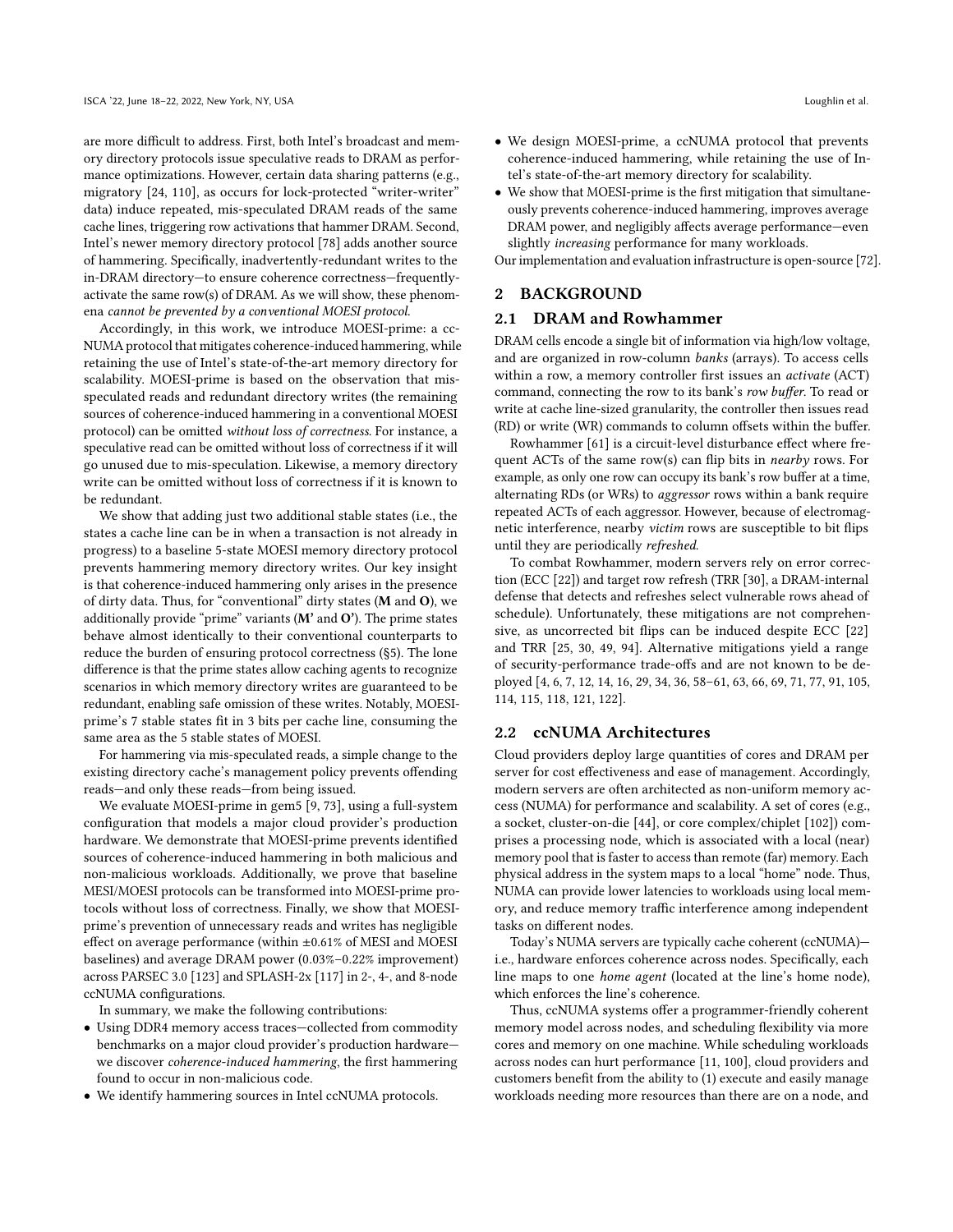are more difficult to address. First, both Intel's broadcast and memory directory protocols issue speculative reads to DRAM as performance optimizations. However, certain data sharing patterns (e.g., migratory [\[24,](#page-12-2) [110\]](#page-14-12), as occurs for lock-protected "writer-writer" data) induce repeated, mis-speculated DRAM reads of the same cache lines, triggering row activations that hammer DRAM. Second, Intel's newer memory directory protocol [\[78\]](#page-14-13) adds another source of hammering. Specifically, inadvertently-redundant writes to the in-DRAM directory—to ensure coherence correctness—frequentlyactivate the same row(s) of DRAM. As we will show, these phenomena cannot be prevented by a conventional MOESI protocol.

Accordingly, in this work, we introduce MOESI-prime: a cc-NUMA protocol that mitigates coherence-induced hammering, while retaining the use of Intel's state-of-the-art memory directory for scalability. MOESI-prime is based on the observation that misspeculated reads and redundant directory writes (the remaining sources of coherence-induced hammering in a conventional MOESI protocol) can be omitted without loss of correctness. For instance, a speculative read can be omitted without loss of correctness if it will go unused due to mis-speculation. Likewise, a memory directory write can be omitted without loss of correctness if it is known to be redundant.

We show that adding just two additional stable states (i.e., the states a cache line can be in when a transaction is not already in progress) to a baseline 5-state MOESI memory directory protocol prevents hammering memory directory writes. Our key insight is that coherence-induced hammering only arises in the presence of dirty data. Thus, for "conventional" dirty states (M and O), we additionally provide "prime" variants  $(M'$  and  $O'$ ). The prime states behave almost identically to their conventional counterparts to reduce the burden of ensuring protocol correctness [\(§5\)](#page-7-0). The lone difference is that the prime states allow caching agents to recognize scenarios in which memory directory writes are guaranteed to be redundant, enabling safe omission of these writes. Notably, MOESIprime's 7 stable states fit in 3 bits per cache line, consuming the same area as the 5 stable states of MOESI.

For hammering via mis-speculated reads, a simple change to the existing directory cache's management policy prevents offending reads—and only these reads—from being issued.

We evaluate MOESI-prime in gem5 [\[9,](#page-12-3) [73\]](#page-13-12), using a full-system configuration that models a major cloud provider's production hardware. We demonstrate that MOESI-prime prevents identified sources of coherence-induced hammering in both malicious and non-malicious workloads. Additionally, we prove that baseline MESI/MOESI protocols can be transformed into MOESI-prime protocols without loss of correctness. Finally, we show that MOESIprime's prevention of unnecessary reads and writes has negligible effect on average performance (within ±0.61% of MESI and MOESI baselines) and average DRAM power (0.03%–0.22% improvement) across PARSEC 3.0 [\[123\]](#page-14-14) and SPLASH-2x [\[117\]](#page-14-15) in 2-, 4-, and 8-node ccNUMA configurations.

In summary, we make the following contributions:

- Using DDR4 memory access traces—collected from commodity benchmarks on a major cloud provider's production hardware we discover coherence-induced hammering, the first hammering found to occur in non-malicious code.
- We identify hammering sources in Intel ccNUMA protocols.
- We design MOESI-prime, a ccNUMA protocol that prevents coherence-induced hammering, while retaining the use of Intel's state-of-the-art memory directory for scalability.
- We show that MOESI-prime is the first mitigation that simultaneously prevents coherence-induced hammering, improves average DRAM power, and negligibly affects average performance—even slightly increasing performance for many workloads.

Our implementation and evaluation infrastructure is open-source [\[72\]](#page-13-13).

## 2 BACKGROUND

## <span id="page-1-0"></span>2.1 DRAM and Rowhammer

DRAM cells encode a single bit of information via high/low voltage, and are organized in row-column banks (arrays). To access cells within a row, a memory controller first issues an activate (ACT) command, connecting the row to its bank's row buffer. To read or write at cache line-sized granularity, the controller then issues read (RD) or write (WR) commands to column offsets within the buffer.

Rowhammer [\[61\]](#page-13-0) is a circuit-level disturbance effect where frequent ACTs of the same row(s) can flip bits in *nearby* rows. For example, as only one row can occupy its bank's row buffer at a time, alternating RDs (or WRs) to aggressor rows within a bank require repeated ACTs of each aggressor. However, because of electromagnetic interference, nearby victim rows are susceptible to bit flips until they are periodically refreshed.

To combat Rowhammer, modern servers rely on error correction (ECC [\[22\]](#page-12-1)) and target row refresh (TRR [\[30\]](#page-13-2), a DRAM-internal defense that detects and refreshes select vulnerable rows ahead of schedule). Unfortunately, these mitigations are not comprehensive, as uncorrected bit flips can be induced despite ECC [\[22\]](#page-12-1) and TRR [\[25,](#page-13-1) [30,](#page-13-2) [49,](#page-13-7) [94\]](#page-14-3). Alternative mitigations yield a range of security-performance trade-offs and are not known to be deployed [\[4,](#page-12-4) [6,](#page-12-5) [7,](#page-12-6) [12,](#page-12-7) [14,](#page-12-8) [16,](#page-12-9) [29,](#page-13-14) [34,](#page-13-15) [36,](#page-13-16) [58–](#page-13-9)[61,](#page-13-0) [63,](#page-13-17) [66,](#page-13-18) [69,](#page-13-19) [71,](#page-13-20) [77,](#page-14-16) [91,](#page-14-17) [105,](#page-14-18) [114,](#page-14-8) [115,](#page-14-19) [118,](#page-14-20) [121,](#page-14-21) [122\]](#page-14-22).

#### 2.2 ccNUMA Architectures

Cloud providers deploy large quantities of cores and DRAM per server for cost effectiveness and ease of management. Accordingly, modern servers are often architected as non-uniform memory access (NUMA) for performance and scalability. A set of cores (e.g., a socket, cluster-on-die [\[44\]](#page-13-21), or core complex/chiplet [\[102\]](#page-14-23)) comprises a processing node, which is associated with a local (near) memory pool that is faster to access than remote (far) memory. Each physical address in the system maps to a local "home" node. Thus, NUMA can provide lower latencies to workloads using local memory, and reduce memory traffic interference among independent tasks on different nodes.

Today's NUMA servers are typically cache coherent (ccNUMA) i.e., hardware enforces coherence across nodes. Specifically, each line maps to one home agent (located at the line's home node), which enforces the line's coherence.

Thus, ccNUMA systems offer a programmer-friendly coherent memory model across nodes, and scheduling flexibility via more cores and memory on one machine. While scheduling workloads across nodes can hurt performance [\[11,](#page-12-10) [100\]](#page-14-24), cloud providers and customers benefit from the ability to (1) execute and easily manage workloads needing more resources than there are on a node, and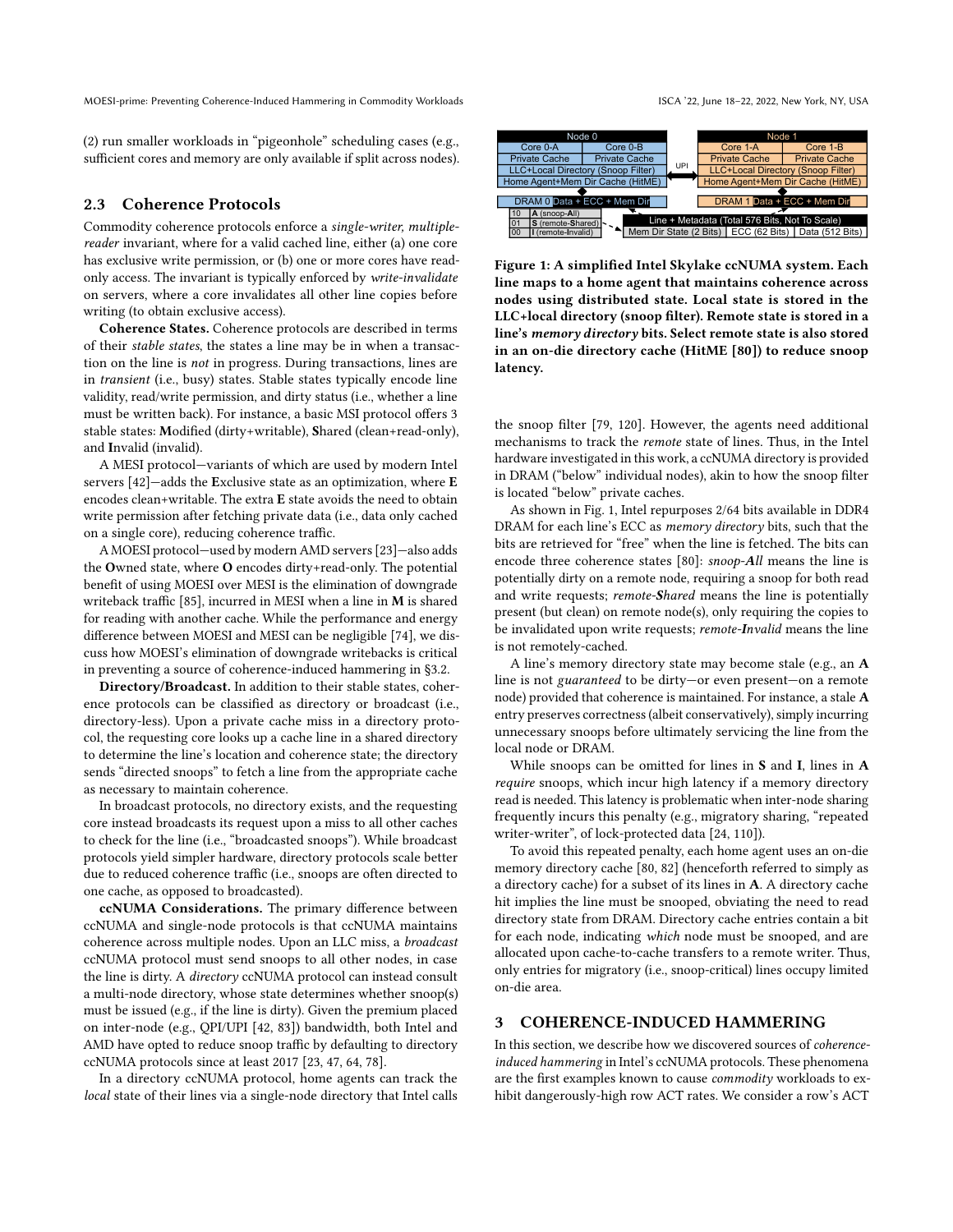(2) run smaller workloads in "pigeonhole" scheduling cases (e.g., sufficient cores and memory are only available if split across nodes).

#### <span id="page-2-1"></span>2.3 Coherence Protocols

Commodity coherence protocols enforce a single-writer, multiplereader invariant, where for a valid cached line, either (a) one core has exclusive write permission, or (b) one or more cores have readonly access. The invariant is typically enforced by write-invalidate on servers, where a core invalidates all other line copies before writing (to obtain exclusive access).

Coherence States. Coherence protocols are described in terms of their stable states, the states a line may be in when a transaction on the line is not in progress. During transactions, lines are in transient (i.e., busy) states. Stable states typically encode line validity, read/write permission, and dirty status (i.e., whether a line must be written back). For instance, a basic MSI protocol offers 3 stable states: Modified (dirty+writable), Shared (clean+read-only), and Invalid (invalid).

A MESI protocol—variants of which are used by modern Intel servers [\[42\]](#page-13-22)—adds the Exclusive state as an optimization, where E encodes clean+writable. The extra E state avoids the need to obtain write permission after fetching private data (i.e., data only cached on a single core), reducing coherence traffic.

A MOESI protocol—used by modern AMD servers [\[23\]](#page-12-11)—also adds the Owned state, where O encodes dirty+read-only. The potential benefit of using MOESI over MESI is the elimination of downgrade writeback traffic [\[85\]](#page-14-11), incurred in MESI when a line in M is shared for reading with another cache. While the performance and energy difference between MOESI and MESI can be negligible [\[74\]](#page-13-23), we discuss how MOESI's elimination of downgrade writebacks is critical in preventing a source of coherence-induced hammering in [§3.2.](#page-3-0)

Directory/Broadcast. In addition to their stable states, coherence protocols can be classified as directory or broadcast (i.e., directory-less). Upon a private cache miss in a directory protocol, the requesting core looks up a cache line in a shared directory to determine the line's location and coherence state; the directory sends "directed snoops" to fetch a line from the appropriate cache as necessary to maintain coherence.

In broadcast protocols, no directory exists, and the requesting core instead broadcasts its request upon a miss to all other caches to check for the line (i.e., "broadcasted snoops"). While broadcast protocols yield simpler hardware, directory protocols scale better due to reduced coherence traffic (i.e., snoops are often directed to one cache, as opposed to broadcasted).

ccNUMA Considerations. The primary difference between ccNUMA and single-node protocols is that ccNUMA maintains coherence across multiple nodes. Upon an LLC miss, a broadcast ccNUMA protocol must send snoops to all other nodes, in case the line is dirty. A directory ccNUMA protocol can instead consult a multi-node directory, whose state determines whether snoop(s) must be issued (e.g., if the line is dirty). Given the premium placed on inter-node (e.g., QPI/UPI [\[42,](#page-13-22) [83\]](#page-14-25)) bandwidth, both Intel and AMD have opted to reduce snoop traffic by defaulting to directory ccNUMA protocols since at least 2017 [\[23,](#page-12-11) [47,](#page-13-24) [64,](#page-13-25) [78\]](#page-14-13).

In a directory ccNUMA protocol, home agents can track the local state of their lines via a single-node directory that Intel calls

<span id="page-2-0"></span>

Figure 1: A simplified Intel Skylake ccNUMA system. Each line maps to a home agent that maintains coherence across nodes using distributed state. Local state is stored in the LLC+local directory (snoop filter). Remote state is stored in a line's memory directory bits. Select remote state is also stored in an on-die directory cache (HitME [\[80\]](#page-14-26)) to reduce snoop latency.

the snoop filter [\[79,](#page-14-27) [120\]](#page-14-28). However, the agents need additional mechanisms to track the remote state of lines. Thus, in the Intel hardware investigated in this work, a ccNUMA directory is provided in DRAM ("below" individual nodes), akin to how the snoop filter is located "below" private caches.

As shown in [Fig. 1,](#page-2-0) Intel repurposes 2/64 bits available in DDR4 DRAM for each line's ECC as memory directory bits, such that the bits are retrieved for "free" when the line is fetched. The bits can encode three coherence states [\[80\]](#page-14-26): snoop-All means the line is potentially dirty on a remote node, requiring a snoop for both read and write requests; remote-Shared means the line is potentially present (but clean) on remote node(s), only requiring the copies to be invalidated upon write requests; remote-Invalid means the line is not remotely-cached.

A line's memory directory state may become stale (e.g., an A line is not guaranteed to be dirty—or even present—on a remote node) provided that coherence is maintained. For instance, a stale A entry preserves correctness (albeit conservatively), simply incurring unnecessary snoops before ultimately servicing the line from the local node or DRAM.

While snoops can be omitted for lines in S and I, lines in A require snoops, which incur high latency if a memory directory read is needed. This latency is problematic when inter-node sharing frequently incurs this penalty (e.g., migratory sharing, "repeated writer-writer", of lock-protected data [\[24,](#page-12-2) [110\]](#page-14-12)).

To avoid this repeated penalty, each home agent uses an on-die memory directory cache [\[80,](#page-14-26) [82\]](#page-14-29) (henceforth referred to simply as a directory cache) for a subset of its lines in A. A directory cache hit implies the line must be snooped, obviating the need to read directory state from DRAM. Directory cache entries contain a bit for each node, indicating which node must be snooped, and are allocated upon cache-to-cache transfers to a remote writer. Thus, only entries for migratory (i.e., snoop-critical) lines occupy limited on-die area.

#### <span id="page-2-2"></span>3 COHERENCE-INDUCED HAMMERING

In this section, we describe how we discovered sources of coherenceinduced hammering in Intel's ccNUMA protocols. These phenomena are the first examples known to cause commodity workloads to exhibit dangerously-high row ACT rates. We consider a row's ACT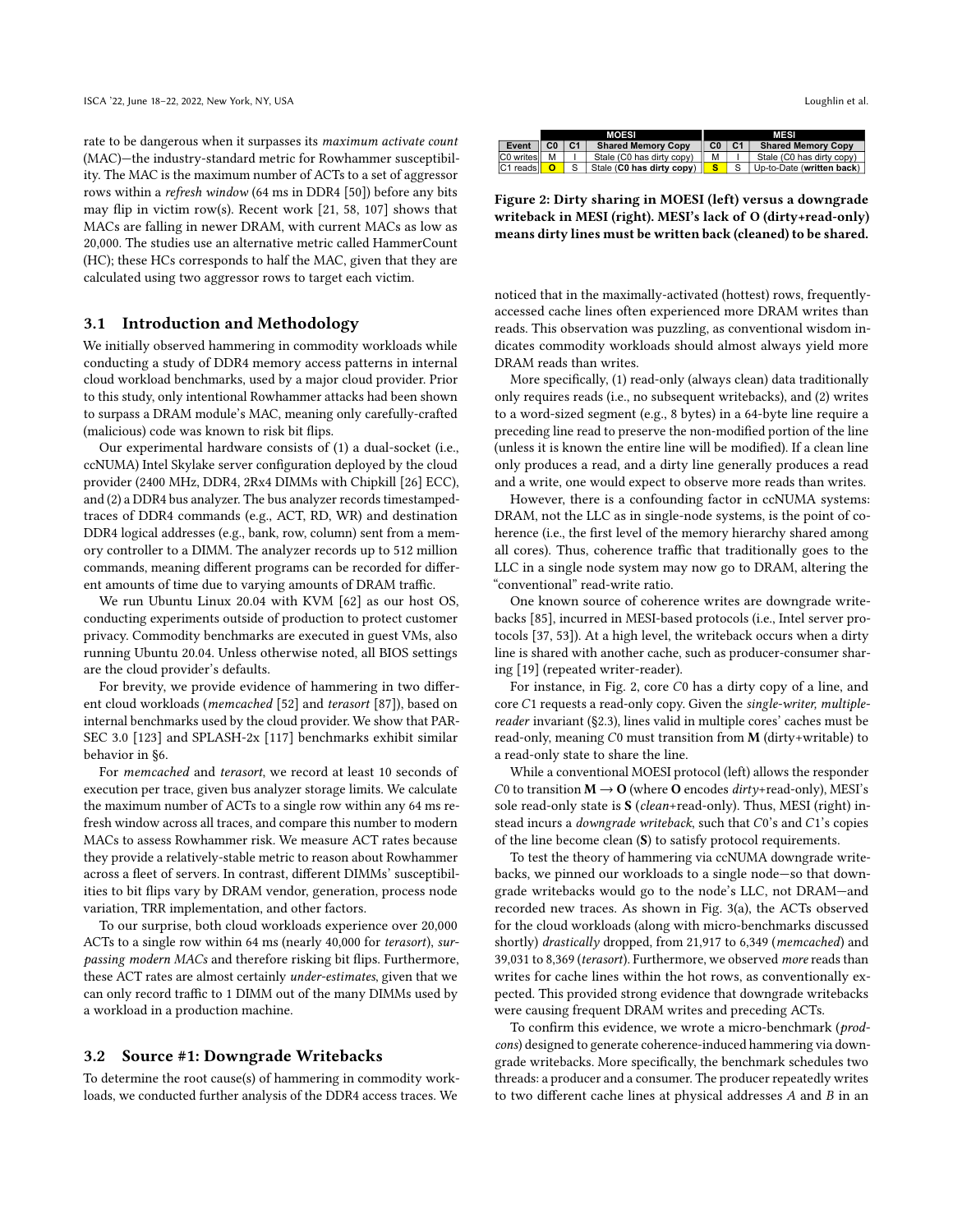rate to be dangerous when it surpasses its maximum activate count (MAC)—the industry-standard metric for Rowhammer susceptibility. The MAC is the maximum number of ACTs to a set of aggressor rows within a refresh window (64 ms in DDR4 [\[50\]](#page-13-26)) before any bits may flip in victim row(s). Recent work [\[21,](#page-12-12) [58,](#page-13-9) [107\]](#page-14-10) shows that MACs are falling in newer DRAM, with current MACs as low as 20,000. The studies use an alternative metric called HammerCount (HC); these HCs corresponds to half the MAC, given that they are calculated using two aggressor rows to target each victim.

#### <span id="page-3-2"></span>3.1 Introduction and Methodology

We initially observed hammering in commodity workloads while conducting a study of DDR4 memory access patterns in internal cloud workload benchmarks, used by a major cloud provider. Prior to this study, only intentional Rowhammer attacks had been shown to surpass a DRAM module's MAC, meaning only carefully-crafted (malicious) code was known to risk bit flips.

Our experimental hardware consists of (1) a dual-socket (i.e., ccNUMA) Intel Skylake server configuration deployed by the cloud provider (2400 MHz, DDR4, 2Rx4 DIMMs with Chipkill [\[26\]](#page-13-27) ECC), and (2) a DDR4 bus analyzer. The bus analyzer records timestampedtraces of DDR4 commands (e.g., ACT, RD, WR) and destination DDR4 logical addresses (e.g., bank, row, column) sent from a memory controller to a DIMM. The analyzer records up to 512 million commands, meaning different programs can be recorded for different amounts of time due to varying amounts of DRAM traffic.

We run Ubuntu Linux 20.04 with KVM [\[62\]](#page-13-28) as our host OS, conducting experiments outside of production to protect customer privacy. Commodity benchmarks are executed in guest VMs, also running Ubuntu 20.04. Unless otherwise noted, all BIOS settings are the cloud provider's defaults.

For brevity, we provide evidence of hammering in two different cloud workloads (memcached [\[52\]](#page-13-29) and terasort [\[87\]](#page-14-30)), based on internal benchmarks used by the cloud provider. We show that PAR-SEC 3.0 [\[123\]](#page-14-14) and SPLASH-2x [\[117\]](#page-14-15) benchmarks exhibit similar behavior in [§6.](#page-9-0)

For memcached and terasort, we record at least 10 seconds of execution per trace, given bus analyzer storage limits. We calculate the maximum number of ACTs to a single row within any 64 ms refresh window across all traces, and compare this number to modern MACs to assess Rowhammer risk. We measure ACT rates because they provide a relatively-stable metric to reason about Rowhammer across a fleet of servers. In contrast, different DIMMs' susceptibilities to bit flips vary by DRAM vendor, generation, process node variation, TRR implementation, and other factors.

To our surprise, both cloud workloads experience over 20,000 ACTs to a single row within 64 ms (nearly 40,000 for terasort), surpassing modern MACs and therefore risking bit flips. Furthermore, these ACT rates are almost certainly under-estimates, given that we can only record traffic to 1 DIMM out of the many DIMMs used by a workload in a production machine.

#### <span id="page-3-0"></span>3.2 Source #1: Downgrade Writebacks

To determine the root cause(s) of hammering in commodity workloads, we conducted further analysis of the DDR4 access traces. We

<span id="page-3-1"></span>

|                  |   | <b>MOESI</b>              | MESI           |  |                           |  |  |  |
|------------------|---|---------------------------|----------------|--|---------------------------|--|--|--|
| Event            |   | <b>Shared Memory Copy</b> | C <sub>0</sub> |  | <b>Shared Memory Copy</b> |  |  |  |
| <b>CO</b> writes | м | Stale (C0 has dirty copy) | М              |  | Stale (C0 has dirty copy) |  |  |  |
| IC1 reads        |   | Stale (C0 has dirty copy) |                |  | Up-to-Date (written back) |  |  |  |
|                  |   |                           |                |  |                           |  |  |  |

Figure 2: Dirty sharing in MOESI (left) versus a downgrade writeback in MESI (right). MESI's lack of O (dirty+read-only) means dirty lines must be written back (cleaned) to be shared.

noticed that in the maximally-activated (hottest) rows, frequentlyaccessed cache lines often experienced more DRAM writes than reads. This observation was puzzling, as conventional wisdom indicates commodity workloads should almost always yield more DRAM reads than writes.

More specifically, (1) read-only (always clean) data traditionally only requires reads (i.e., no subsequent writebacks), and (2) writes to a word-sized segment (e.g., 8 bytes) in a 64-byte line require a preceding line read to preserve the non-modified portion of the line (unless it is known the entire line will be modified). If a clean line only produces a read, and a dirty line generally produces a read and a write, one would expect to observe more reads than writes.

However, there is a confounding factor in ccNUMA systems: DRAM, not the LLC as in single-node systems, is the point of coherence (i.e., the first level of the memory hierarchy shared among all cores). Thus, coherence traffic that traditionally goes to the LLC in a single node system may now go to DRAM, altering the "conventional" read-write ratio.

One known source of coherence writes are downgrade writebacks [\[85\]](#page-14-11), incurred in MESI-based protocols (i.e., Intel server protocols [\[37,](#page-13-30) [53\]](#page-13-31)). At a high level, the writeback occurs when a dirty line is shared with another cache, such as producer-consumer sharing [\[19\]](#page-12-13) (repeated writer-reader).

For instance, in [Fig. 2,](#page-3-1) core C0 has a dirty copy of a line, and core C1 requests a read-only copy. Given the single-writer, multiplereader invariant [\(§2.3\)](#page-2-1), lines valid in multiple cores' caches must be read-only, meaning  $C0$  must transition from M (dirty+writable) to a read-only state to share the line.

While a conventional MOESI protocol (left) allows the responder C0 to transition  $M \rightarrow O$  (where O encodes dirty+read-only), MESI's sole read-only state is S (clean+read-only). Thus, MESI (right) instead incurs a *downgrade writeback*, such that C0's and C1's copies of the line become clean (S) to satisfy protocol requirements.

To test the theory of hammering via ccNUMA downgrade writebacks, we pinned our workloads to a single node—so that downgrade writebacks would go to the node's LLC, not DRAM—and recorded new traces. As shown in [Fig. 3\(](#page-4-0)a), the ACTs observed for the cloud workloads (along with micro-benchmarks discussed shortly) drastically dropped, from 21,917 to 6,349 (memcached) and 39,031 to 8,369 (terasort). Furthermore, we observed more reads than writes for cache lines within the hot rows, as conventionally expected. This provided strong evidence that downgrade writebacks were causing frequent DRAM writes and preceding ACTs.

To confirm this evidence, we wrote a micro-benchmark (prodcons) designed to generate coherence-induced hammering via downgrade writebacks. More specifically, the benchmark schedules two threads: a producer and a consumer. The producer repeatedly writes to two different cache lines at physical addresses  $A$  and  $B$  in an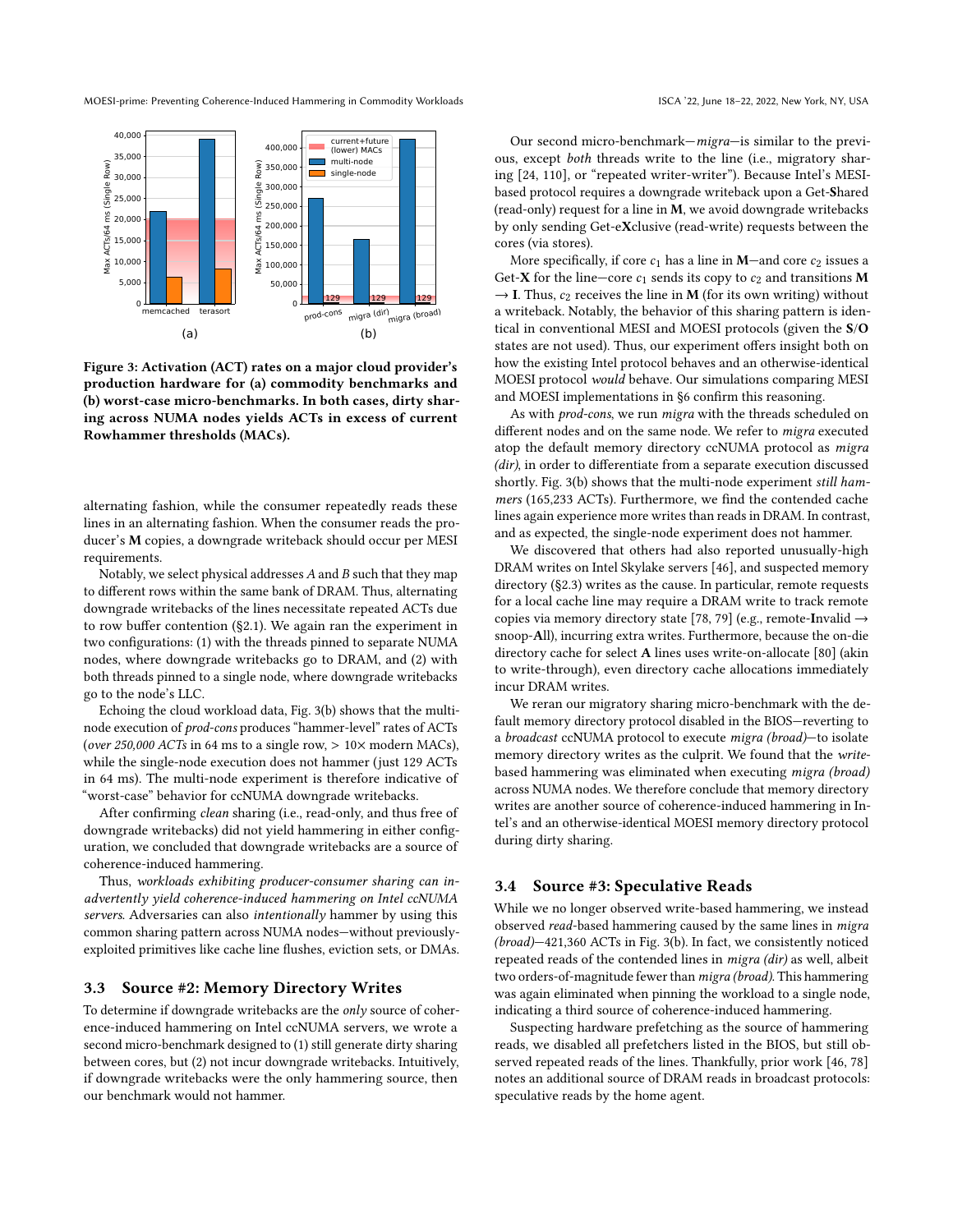<span id="page-4-0"></span>

Figure 3: Activation (ACT) rates on a major cloud provider's production hardware for (a) commodity benchmarks and (b) worst-case micro-benchmarks. In both cases, dirty sharing across NUMA nodes yields ACTs in excess of current Rowhammer thresholds (MACs).

alternating fashion, while the consumer repeatedly reads these lines in an alternating fashion. When the consumer reads the producer's M copies, a downgrade writeback should occur per MESI requirements.

Notably, we select physical addresses  $A$  and  $B$  such that they map to different rows within the same bank of DRAM. Thus, alternating downgrade writebacks of the lines necessitate repeated ACTs due to row buffer contention [\(§2.1\)](#page-1-0). We again ran the experiment in two configurations: (1) with the threads pinned to separate NUMA nodes, where downgrade writebacks go to DRAM, and (2) with both threads pinned to a single node, where downgrade writebacks go to the node's LLC.

Echoing the cloud workload data, [Fig. 3\(](#page-4-0)b) shows that the multinode execution of prod-cons produces "hammer-level" rates of ACTs (over 250,000 ACTs in 64 ms to a single row,  $> 10 \times$  modern MACs), while the single-node execution does not hammer (just 129 ACTs in 64 ms). The multi-node experiment is therefore indicative of "worst-case" behavior for ccNUMA downgrade writebacks.

After confirming clean sharing (i.e., read-only, and thus free of downgrade writebacks) did not yield hammering in either configuration, we concluded that downgrade writebacks are a source of coherence-induced hammering.

Thus, workloads exhibiting producer-consumer sharing can inadvertently yield coherence-induced hammering on Intel ccNUMA servers. Adversaries can also intentionally hammer by using this common sharing pattern across NUMA nodes—without previouslyexploited primitives like cache line flushes, eviction sets, or DMAs.

#### <span id="page-4-1"></span>3.3 Source #2: Memory Directory Writes

To determine if downgrade writebacks are the only source of coherence-induced hammering on Intel ccNUMA servers, we wrote a second micro-benchmark designed to (1) still generate dirty sharing between cores, but (2) not incur downgrade writebacks. Intuitively, if downgrade writebacks were the only hammering source, then our benchmark would not hammer.

Our second micro-benchmark—migra—is similar to the previous, except both threads write to the line (i.e., migratory shar-

ing [\[24,](#page-12-2) [110\]](#page-14-12), or "repeated writer-writer"). Because Intel's MESIbased protocol requires a downgrade writeback upon a Get-Shared (read-only) request for a line in M, we avoid downgrade writebacks by only sending Get-eXclusive (read-write) requests between the cores (via stores).

More specifically, if core  $c_1$  has a line in **M**—and core  $c_2$  issues a Get-X for the line—core  $c_1$  sends its copy to  $c_2$  and transitions M  $\rightarrow$  I. Thus,  $c_2$  receives the line in M (for its own writing) without a writeback. Notably, the behavior of this sharing pattern is identical in conventional MESI and MOESI protocols (given the S/O states are not used). Thus, our experiment offers insight both on how the existing Intel protocol behaves and an otherwise-identical MOESI protocol would behave. Our simulations comparing MESI and MOESI implementations in [§6](#page-9-0) confirm this reasoning.

As with prod-cons, we run migra with the threads scheduled on different nodes and on the same node. We refer to migra executed atop the default memory directory ccNUMA protocol as migra (dir), in order to differentiate from a separate execution discussed shortly. [Fig. 3\(](#page-4-0)b) shows that the multi-node experiment still hammers (165,233 ACTs). Furthermore, we find the contended cache lines again experience more writes than reads in DRAM. In contrast, and as expected, the single-node experiment does not hammer.

We discovered that others had also reported unusually-high DRAM writes on Intel Skylake servers [\[46\]](#page-13-32), and suspected memory directory [\(§2.3\)](#page-2-1) writes as the cause. In particular, remote requests for a local cache line may require a DRAM write to track remote copies via memory directory state [\[78,](#page-14-13) [79\]](#page-14-27) (e.g., remote-Invalid  $\rightarrow$ snoop-All), incurring extra writes. Furthermore, because the on-die directory cache for select A lines uses write-on-allocate [\[80\]](#page-14-26) (akin to write-through), even directory cache allocations immediately incur DRAM writes.

We reran our migratory sharing micro-benchmark with the default memory directory protocol disabled in the BIOS—reverting to a broadcast ccNUMA protocol to execute migra (broad)—to isolate memory directory writes as the culprit. We found that the writebased hammering was eliminated when executing migra (broad) across NUMA nodes. We therefore conclude that memory directory writes are another source of coherence-induced hammering in Intel's and an otherwise-identical MOESI memory directory protocol during dirty sharing.

#### <span id="page-4-2"></span>3.4 Source #3: Speculative Reads

While we no longer observed write-based hammering, we instead observed read-based hammering caused by the same lines in migra (broad)—421,360 ACTs in [Fig. 3\(](#page-4-0)b). In fact, we consistently noticed repeated reads of the contended lines in migra (dir) as well, albeit two orders-of-magnitude fewer than migra (broad). This hammering was again eliminated when pinning the workload to a single node, indicating a third source of coherence-induced hammering.

Suspecting hardware prefetching as the source of hammering reads, we disabled all prefetchers listed in the BIOS, but still observed repeated reads of the lines. Thankfully, prior work [\[46,](#page-13-32) [78\]](#page-14-13) notes an additional source of DRAM reads in broadcast protocols: speculative reads by the home agent.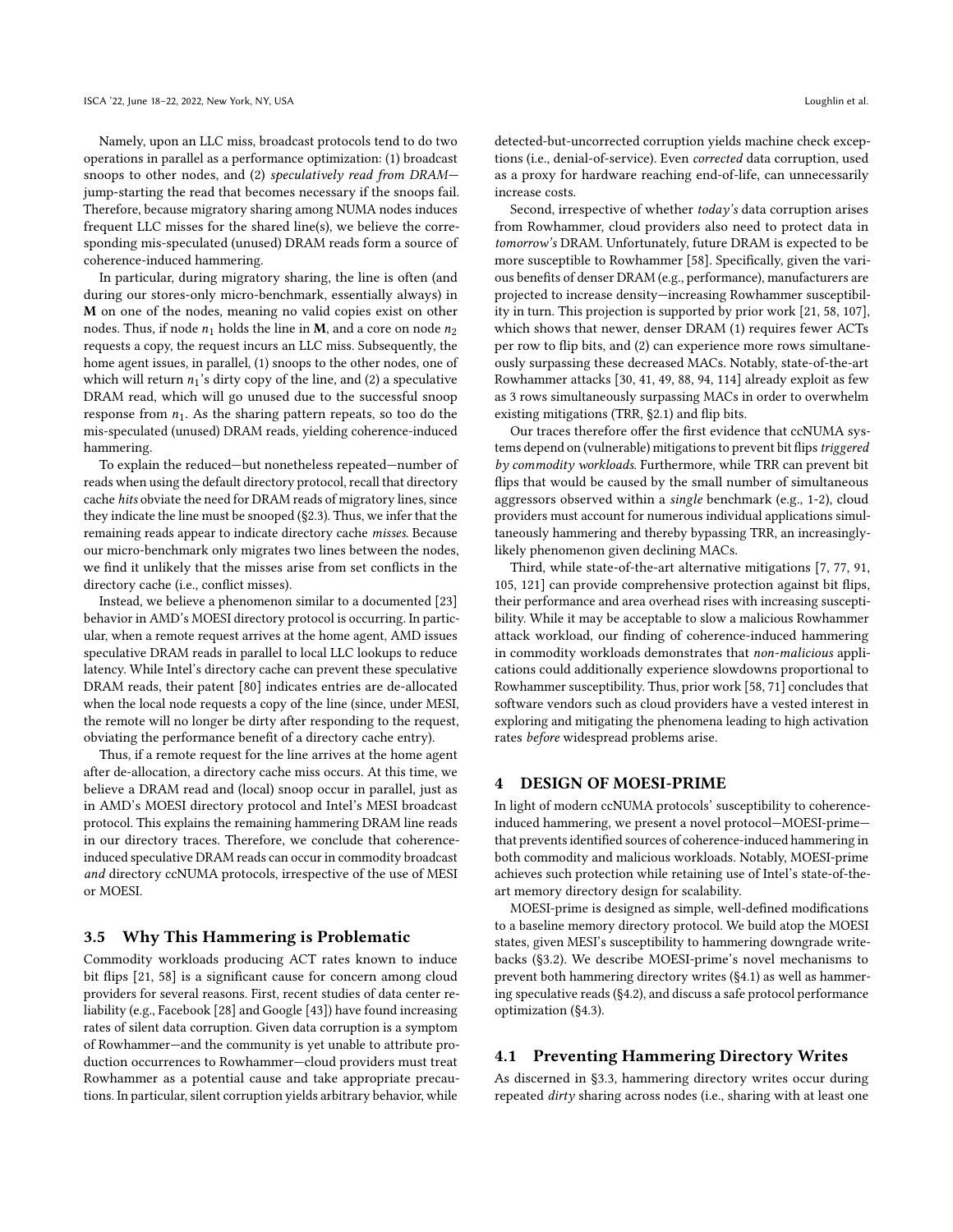Namely, upon an LLC miss, broadcast protocols tend to do two operations in parallel as a performance optimization: (1) broadcast snoops to other nodes, and (2) speculatively read from DRAM jump-starting the read that becomes necessary if the snoops fail. Therefore, because migratory sharing among NUMA nodes induces frequent LLC misses for the shared line(s), we believe the corresponding mis-speculated (unused) DRAM reads form a source of coherence-induced hammering.

In particular, during migratory sharing, the line is often (and during our stores-only micro-benchmark, essentially always) in M on one of the nodes, meaning no valid copies exist on other nodes. Thus, if node  $n_1$  holds the line in M, and a core on node  $n_2$ requests a copy, the request incurs an LLC miss. Subsequently, the home agent issues, in parallel, (1) snoops to the other nodes, one of which will return  $n_1$ 's dirty copy of the line, and (2) a speculative DRAM read, which will go unused due to the successful snoop response from  $n_1$ . As the sharing pattern repeats, so too do the mis-speculated (unused) DRAM reads, yielding coherence-induced hammering.

To explain the reduced—but nonetheless repeated—number of reads when using the default directory protocol, recall that directory cache hits obviate the need for DRAM reads of migratory lines, since they indicate the line must be snooped [\(§2.3\)](#page-2-1). Thus, we infer that the remaining reads appear to indicate directory cache misses. Because our micro-benchmark only migrates two lines between the nodes, we find it unlikely that the misses arise from set conflicts in the directory cache (i.e., conflict misses).

Instead, we believe a phenomenon similar to a documented [\[23\]](#page-12-11) behavior in AMD's MOESI directory protocol is occurring. In particular, when a remote request arrives at the home agent, AMD issues speculative DRAM reads in parallel to local LLC lookups to reduce latency. While Intel's directory cache can prevent these speculative DRAM reads, their patent [\[80\]](#page-14-26) indicates entries are de-allocated when the local node requests a copy of the line (since, under MESI, the remote will no longer be dirty after responding to the request, obviating the performance benefit of a directory cache entry).

Thus, if a remote request for the line arrives at the home agent after de-allocation, a directory cache miss occurs. At this time, we believe a DRAM read and (local) snoop occur in parallel, just as in AMD's MOESI directory protocol and Intel's MESI broadcast protocol. This explains the remaining hammering DRAM line reads in our directory traces. Therefore, we conclude that coherenceinduced speculative DRAM reads can occur in commodity broadcast and directory ccNUMA protocols, irrespective of the use of MESI or MOESI.

## 3.5 Why This Hammering is Problematic

Commodity workloads producing ACT rates known to induce bit flips [\[21,](#page-12-12) [58\]](#page-13-9) is a significant cause for concern among cloud providers for several reasons. First, recent studies of data center reliability (e.g., Facebook [\[28\]](#page-13-33) and Google [\[43\]](#page-13-34)) have found increasing rates of silent data corruption. Given data corruption is a symptom of Rowhammer—and the community is yet unable to attribute production occurrences to Rowhammer—cloud providers must treat Rowhammer as a potential cause and take appropriate precautions. In particular, silent corruption yields arbitrary behavior, while

detected-but-uncorrected corruption yields machine check exceptions (i.e., denial-of-service). Even corrected data corruption, used as a proxy for hardware reaching end-of-life, can unnecessarily increase costs.

Second, irrespective of whether today's data corruption arises from Rowhammer, cloud providers also need to protect data in tomorrow's DRAM. Unfortunately, future DRAM is expected to be more susceptible to Rowhammer [\[58\]](#page-13-9). Specifically, given the various benefits of denser DRAM (e.g., performance), manufacturers are projected to increase density—increasing Rowhammer susceptibility in turn. This projection is supported by prior work [\[21,](#page-12-12) [58,](#page-13-9) [107\]](#page-14-10), which shows that newer, denser DRAM (1) requires fewer ACTs per row to flip bits, and (2) can experience more rows simultaneously surpassing these decreased MACs. Notably, state-of-the-art Rowhammer attacks [\[30,](#page-13-2) [41,](#page-13-5) [49,](#page-13-7) [88,](#page-14-2) [94,](#page-14-3) [114\]](#page-14-8) already exploit as few as 3 rows simultaneously surpassing MACs in order to overwhelm existing mitigations (TRR, [§2.1\)](#page-1-0) and flip bits.

Our traces therefore offer the first evidence that ccNUMA systems depend on (vulnerable) mitigations to prevent bit flips triggered by commodity workloads. Furthermore, while TRR can prevent bit flips that would be caused by the small number of simultaneous aggressors observed within a single benchmark (e.g., 1-2), cloud providers must account for numerous individual applications simultaneously hammering and thereby bypassing TRR, an increasinglylikely phenomenon given declining MACs.

Third, while state-of-the-art alternative mitigations [\[7,](#page-12-6) [77,](#page-14-16) [91,](#page-14-17) [105,](#page-14-18) [121\]](#page-14-21) can provide comprehensive protection against bit flips, their performance and area overhead rises with increasing susceptibility. While it may be acceptable to slow a malicious Rowhammer attack workload, our finding of coherence-induced hammering in commodity workloads demonstrates that non-malicious applications could additionally experience slowdowns proportional to Rowhammer susceptibility. Thus, prior work [\[58,](#page-13-9) [71\]](#page-13-20) concludes that software vendors such as cloud providers have a vested interest in exploring and mitigating the phenomena leading to high activation rates before widespread problems arise.

#### 4 DESIGN OF MOESI-PRIME

In light of modern ccNUMA protocols' susceptibility to coherenceinduced hammering, we present a novel protocol—MOESI-prime that prevents identified sources of coherence-induced hammering in both commodity and malicious workloads. Notably, MOESI-prime achieves such protection while retaining use of Intel's state-of-theart memory directory design for scalability.

MOESI-prime is designed as simple, well-defined modifications to a baseline memory directory protocol. We build atop the MOESI states, given MESI's susceptibility to hammering downgrade writebacks [\(§3.2\)](#page-3-0). We describe MOESI-prime's novel mechanisms to prevent both hammering directory writes [\(§4.1\)](#page-5-0) as well as hammering speculative reads [\(§4.2\)](#page-7-1), and discuss a safe protocol performance optimization [\(§4.3\)](#page-7-2).

#### <span id="page-5-0"></span>4.1 Preventing Hammering Directory Writes

As discerned in [§3.3,](#page-4-1) hammering directory writes occur during repeated dirty sharing across nodes (i.e., sharing with at least one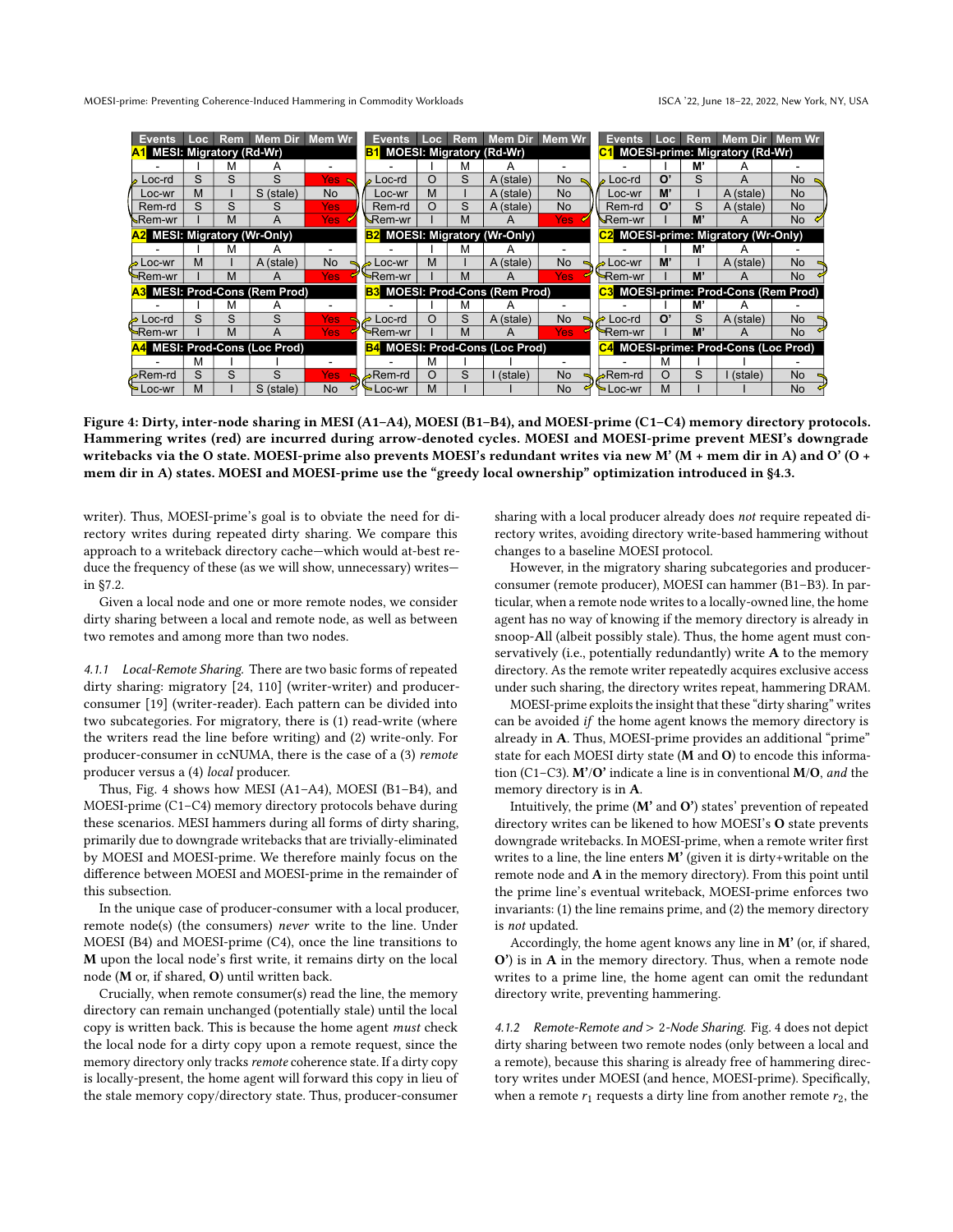<span id="page-6-0"></span>

| <b>Events</b>                                                     | Loc | <b>Rem</b> | Mem Dir Mem Wr                |           |                                 | Events                                | Loc                                 | <b>Rem</b> | Mem Dir                               | <b>Mem Wr</b>                         | <b>Events</b>       | Loc <sub>1</sub>          | Rem                                  | Mem Dir Mem Wr                       |                |
|-------------------------------------------------------------------|-----|------------|-------------------------------|-----------|---------------------------------|---------------------------------------|-------------------------------------|------------|---------------------------------------|---------------------------------------|---------------------|---------------------------|--------------------------------------|--------------------------------------|----------------|
| <b>A1</b> MESI: Migratory (Rd-Wr)                                 |     |            |                               |           | <b>MOESI: Migratory (Rd-Wr)</b> |                                       |                                     |            |                                       | <b>MOESI-prime: Migratory (Rd-Wr)</b> |                     |                           |                                      |                                      |                |
|                                                                   |     | м          | А                             |           |                                 |                                       |                                     | м          |                                       |                                       |                     |                           | M'                                   |                                      |                |
| Loc-rd                                                            |     | S          | S                             | Yes:      |                                 | _oc-rd                                | O                                   | S          | A (stale)                             | No.                                   | Loc-rd              | O                         |                                      | A                                    | No.            |
| Loc-wr                                                            | м   |            | S (stale)                     | <b>No</b> |                                 | Loc-wr                                | M                                   |            | A (stale)                             | No                                    | Loc-wr              | M                         |                                      | A (stale)                            | <b>No</b>      |
| Rem-rd                                                            |     | S          |                               | Yes       |                                 | Rem-rd                                | O                                   | S          | A (stale)                             | No                                    | Rem-rd              | $\mathbf{O}^{\mathsf{s}}$ | S                                    | A (stale)                            | No             |
| Nem-wr⊾                                                           |     | м          |                               | Yes       |                                 | sRem-wr                               |                                     | М          |                                       | Yes                                   | <b>∖</b> Rem-wr     |                           | M                                    |                                      | <b>No</b>      |
| A2 MESI: Migratory (Wr-Only)<br><b>MOESI: Migratory (Wr-Only)</b> |     |            |                               |           |                                 |                                       | C2 MOESI-prime: Migratory (Wr-Only) |            |                                       |                                       |                     |                           |                                      |                                      |                |
|                                                                   |     | м          |                               |           |                                 |                                       |                                     | м          | A                                     |                                       |                     |                           | м                                    |                                      |                |
| loc-wr≱                                                           | м   |            | A (stale)                     | No.       |                                 | Loc-wr                                | M                                   |            | A (stale)                             | No.                                   | ∙ Loc-wr            | M                         |                                      | A (stale)                            | N <sub>o</sub> |
| <del>&gt;</del> Rem-wr                                            |     | M          | A                             | Yes       |                                 | <del>∍</del> Rem-wr                   |                                     | М          | A                                     | Yes                                   | <del>∍R</del> em-wr |                           | M'                                   |                                      | <b>No</b>      |
|                                                                   |     |            | A3 MESI: Prod-Cons (Rem Prod) |           |                                 |                                       |                                     |            | <b>B3 MOESI: Prod-Cons (Rem Prod)</b> |                                       |                     |                           |                                      | C3 MOESI-prime: Prod-Cons (Rem Prod) |                |
|                                                                   |     | м          | А                             |           |                                 |                                       |                                     | м          | A                                     |                                       |                     |                           | M                                    |                                      |                |
| Loc-rd ط                                                          |     | S          | S                             | Yes       |                                 | Loc-rd                                | O                                   | S          | A (stale)                             | No                                    | Loc-rd              |                           | S                                    | A (stale)                            | <b>No</b>      |
| <del>∖</del> Rem-wr                                               |     | м          |                               | Yes       |                                 | <del>∍</del> Rem-wr                   |                                     | м          |                                       | Yes                                   | <del>™</del> Rem-wr |                           | M                                    |                                      | <b>No</b>      |
| A4 MESI: Prod-Cons (Loc Prod)                                     |     |            |                               |           |                                 | <b>B4 MOESI: Prod-Cons (Loc Prod)</b> |                                     |            |                                       |                                       |                     |                           | C4 MOESI-prime: Prod-Cons (Loc Prod) |                                      |                |
|                                                                   | м   |            |                               |           |                                 |                                       | м                                   |            |                                       |                                       |                     | м                         |                                      |                                      |                |
| lem-rd⊰                                                           |     | S          | S                             | Yes       |                                 | kem-rd⊖                               | O                                   | S          | $l$ (stale)                           | <b>No</b>                             | kem-rd⊖             |                           | S                                    | (stale)                              | <b>No</b>      |
| ► Loc-wr                                                          | м   |            | S (stale)                     | No.       |                                 | <b>► Loc-wr</b>                       | M                                   |            |                                       | No.                                   | S Loc-wr            | м                         |                                      |                                      | <b>No</b>      |

Figure 4: Dirty, inter-node sharing in MESI (A1–A4), MOESI (B1–B4), and MOESI-prime (C1–C4) memory directory protocols. Hammering writes (red) are incurred during arrow-denoted cycles. MOESI and MOESI-prime prevent MESI's downgrade writebacks via the O state. MOESI-prime also prevents MOESI's redundant writes via new M' (M + mem dir in A) and O' (O + mem dir in A) states. MOESI and MOESI-prime use the "greedy local ownership" optimization introduced in [§4.3.](#page-7-2)

writer). Thus, MOESI-prime's goal is to obviate the need for directory writes during repeated dirty sharing. We compare this approach to a writeback directory cache—which would at-best reduce the frequency of these (as we will show, unnecessary) writes in [§7.2.](#page-11-0)

Given a local node and one or more remote nodes, we consider dirty sharing between a local and remote node, as well as between two remotes and among more than two nodes.

4.1.1 Local-Remote Sharing. There are two basic forms of repeated dirty sharing: migratory [\[24,](#page-12-2) [110\]](#page-14-12) (writer-writer) and producerconsumer [\[19\]](#page-12-13) (writer-reader). Each pattern can be divided into two subcategories. For migratory, there is (1) read-write (where the writers read the line before writing) and (2) write-only. For producer-consumer in ccNUMA, there is the case of a (3) remote producer versus a (4) local producer.

Thus, [Fig. 4](#page-6-0) shows how MESI (A1–A4), MOESI (B1–B4), and MOESI-prime (C1–C4) memory directory protocols behave during these scenarios. MESI hammers during all forms of dirty sharing, primarily due to downgrade writebacks that are trivially-eliminated by MOESI and MOESI-prime. We therefore mainly focus on the difference between MOESI and MOESI-prime in the remainder of this subsection.

In the unique case of producer-consumer with a local producer, remote node(s) (the consumers) never write to the line. Under MOESI (B4) and MOESI-prime (C4), once the line transitions to M upon the local node's first write, it remains dirty on the local node (M or, if shared, O) until written back.

Crucially, when remote consumer(s) read the line, the memory directory can remain unchanged (potentially stale) until the local copy is written back. This is because the home agent must check the local node for a dirty copy upon a remote request, since the memory directory only tracks remote coherence state. If a dirty copy is locally-present, the home agent will forward this copy in lieu of the stale memory copy/directory state. Thus, producer-consumer

sharing with a local producer already does not require repeated directory writes, avoiding directory write-based hammering without changes to a baseline MOESI protocol.

However, in the migratory sharing subcategories and producerconsumer (remote producer), MOESI can hammer (B1–B3). In particular, when a remote node writes to a locally-owned line, the home agent has no way of knowing if the memory directory is already in snoop-All (albeit possibly stale). Thus, the home agent must conservatively (i.e., potentially redundantly) write A to the memory directory. As the remote writer repeatedly acquires exclusive access under such sharing, the directory writes repeat, hammering DRAM.

MOESI-prime exploits the insight that these "dirty sharing" writes can be avoided if the home agent knows the memory directory is already in A. Thus, MOESI-prime provides an additional "prime" state for each MOESI dirty state (M and O) to encode this information (C1–C3). M'/O' indicate a line is in conventional M/O, and the memory directory is in A.

Intuitively, the prime  $(M'$  and  $O'$ ) states' prevention of repeated directory writes can be likened to how MOESI's O state prevents downgrade writebacks. In MOESI-prime, when a remote writer first writes to a line, the line enters  $M'$  (given it is dirty+writable on the remote node and A in the memory directory). From this point until the prime line's eventual writeback, MOESI-prime enforces two invariants: (1) the line remains prime, and (2) the memory directory is not updated.

Accordingly, the home agent knows any line in M' (or, if shared, O') is in A in the memory directory. Thus, when a remote node writes to a prime line, the home agent can omit the redundant directory write, preventing hammering.

4.1.2 Remote-Remote and > 2-Node Sharing. [Fig. 4](#page-6-0) does not depict dirty sharing between two remote nodes (only between a local and a remote), because this sharing is already free of hammering directory writes under MOESI (and hence, MOESI-prime). Specifically, when a remote  $r_1$  requests a dirty line from another remote  $r_2$ , the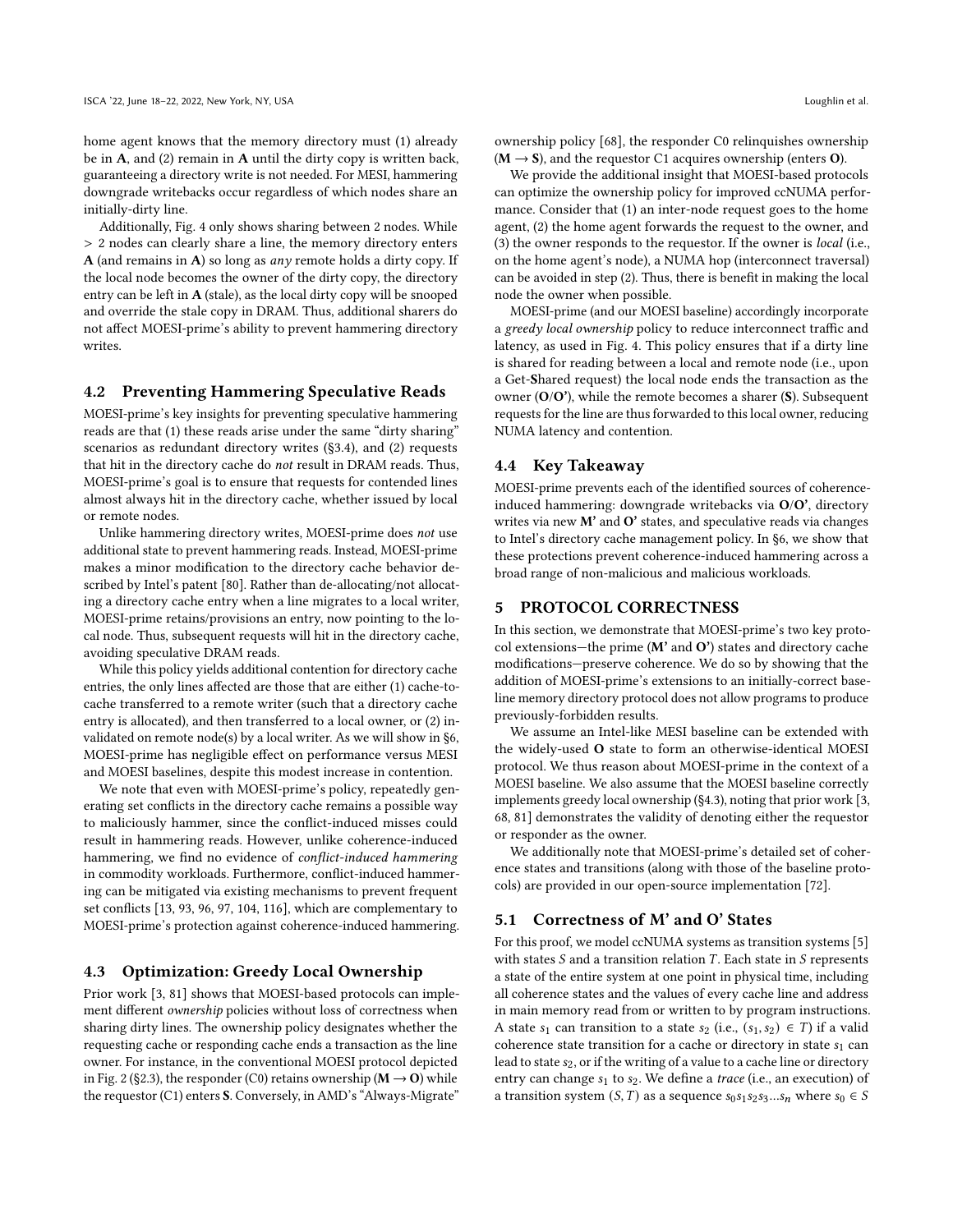home agent knows that the memory directory must (1) already be in A, and (2) remain in A until the dirty copy is written back, guaranteeing a directory write is not needed. For MESI, hammering downgrade writebacks occur regardless of which nodes share an initially-dirty line.

Additionally, [Fig. 4](#page-6-0) only shows sharing between 2 nodes. While > 2 nodes can clearly share a line, the memory directory enters A (and remains in A) so long as *any* remote holds a dirty copy. If the local node becomes the owner of the dirty copy, the directory entry can be left in A (stale), as the local dirty copy will be snooped and override the stale copy in DRAM. Thus, additional sharers do not affect MOESI-prime's ability to prevent hammering directory writes.

#### <span id="page-7-1"></span>4.2 Preventing Hammering Speculative Reads

MOESI-prime's key insights for preventing speculative hammering reads are that (1) these reads arise under the same "dirty sharing" scenarios as redundant directory writes [\(§3.4\)](#page-4-2), and (2) requests that hit in the directory cache do not result in DRAM reads. Thus, MOESI-prime's goal is to ensure that requests for contended lines almost always hit in the directory cache, whether issued by local or remote nodes.

Unlike hammering directory writes, MOESI-prime does not use additional state to prevent hammering reads. Instead, MOESI-prime makes a minor modification to the directory cache behavior described by Intel's patent [\[80\]](#page-14-26). Rather than de-allocating/not allocating a directory cache entry when a line migrates to a local writer, MOESI-prime retains/provisions an entry, now pointing to the local node. Thus, subsequent requests will hit in the directory cache, avoiding speculative DRAM reads.

While this policy yields additional contention for directory cache entries, the only lines affected are those that are either (1) cache-tocache transferred to a remote writer (such that a directory cache entry is allocated), and then transferred to a local owner, or (2) invalidated on remote node(s) by a local writer. As we will show in [§6,](#page-9-0) MOESI-prime has negligible effect on performance versus MESI and MOESI baselines, despite this modest increase in contention.

We note that even with MOESI-prime's policy, repeatedly generating set conflicts in the directory cache remains a possible way to maliciously hammer, since the conflict-induced misses could result in hammering reads. However, unlike coherence-induced hammering, we find no evidence of conflict-induced hammering in commodity workloads. Furthermore, conflict-induced hammering can be mitigated via existing mechanisms to prevent frequent set conflicts [\[13,](#page-12-14) [93,](#page-14-31) [96,](#page-14-32) [97,](#page-14-33) [104,](#page-14-34) [116\]](#page-14-35), which are complementary to MOESI-prime's protection against coherence-induced hammering.

#### <span id="page-7-2"></span>4.3 Optimization: Greedy Local Ownership

Prior work [\[3,](#page-12-15) [81\]](#page-14-36) shows that MOESI-based protocols can implement different ownership policies without loss of correctness when sharing dirty lines. The ownership policy designates whether the requesting cache or responding cache ends a transaction as the line owner. For instance, in the conventional MOESI protocol depicted in [Fig. 2](#page-3-1) [\(§2.3\)](#page-2-1), the responder (C0) retains ownership ( $M \rightarrow O$ ) while the requestor (C1) enters S. Conversely, in AMD's "Always-Migrate"

ownership policy [\[68\]](#page-13-35), the responder C0 relinquishes ownership  $(M \rightarrow S)$ , and the requestor C1 acquires ownership (enters O).

We provide the additional insight that MOESI-based protocols can optimize the ownership policy for improved ccNUMA performance. Consider that (1) an inter-node request goes to the home agent, (2) the home agent forwards the request to the owner, and (3) the owner responds to the requestor. If the owner is local (i.e., on the home agent's node), a NUMA hop (interconnect traversal) can be avoided in step (2). Thus, there is benefit in making the local node the owner when possible.

MOESI-prime (and our MOESI baseline) accordingly incorporate a greedy local ownership policy to reduce interconnect traffic and latency, as used in [Fig. 4.](#page-6-0) This policy ensures that if a dirty line is shared for reading between a local and remote node (i.e., upon a Get-Shared request) the local node ends the transaction as the owner  $(O/O')$ , while the remote becomes a sharer  $(S)$ . Subsequent requests for the line are thus forwarded to this local owner, reducing NUMA latency and contention.

#### 4.4 Key Takeaway

MOESI-prime prevents each of the identified sources of coherenceinduced hammering: downgrade writebacks via O/O', directory writes via new M' and O' states, and speculative reads via changes to Intel's directory cache management policy. In [§6,](#page-9-0) we show that these protections prevent coherence-induced hammering across a broad range of non-malicious and malicious workloads.

## <span id="page-7-0"></span>5 PROTOCOL CORRECTNESS

In this section, we demonstrate that MOESI-prime's two key protocol extensions—the prime  $(M'$  and  $O'$ ) states and directory cache modifications—preserve coherence. We do so by showing that the addition of MOESI-prime's extensions to an initially-correct baseline memory directory protocol does not allow programs to produce previously-forbidden results.

We assume an Intel-like MESI baseline can be extended with the widely-used O state to form an otherwise-identical MOESI protocol. We thus reason about MOESI-prime in the context of a MOESI baseline. We also assume that the MOESI baseline correctly implements greedy local ownership [\(§4.3\)](#page-7-2), noting that prior work [\[3,](#page-12-15) [68,](#page-13-35) [81\]](#page-14-36) demonstrates the validity of denoting either the requestor or responder as the owner.

We additionally note that MOESI-prime's detailed set of coherence states and transitions (along with those of the baseline protocols) are provided in our open-source implementation [\[72\]](#page-13-13).

## 5.1 Correctness of M' and O' States

For this proof, we model ccNUMA systems as transition systems [\[5\]](#page-12-16) with states  $S$  and a transition relation  $T$ . Each state in  $S$  represents a state of the entire system at one point in physical time, including all coherence states and the values of every cache line and address in main memory read from or written to by program instructions. A state  $s_1$  can transition to a state  $s_2$  (i.e.,  $(s_1, s_2) \in T$ ) if a valid coherence state transition for a cache or directory in state  $s_1$  can lead to state  $s_2$ , or if the writing of a value to a cache line or directory entry can change  $s_1$  to  $s_2$ . We define a *trace* (i.e., an execution) of a transition system  $(S, T)$  as a sequence  $s_0 s_1 s_2 s_3... s_n$  where  $s_0 \in S$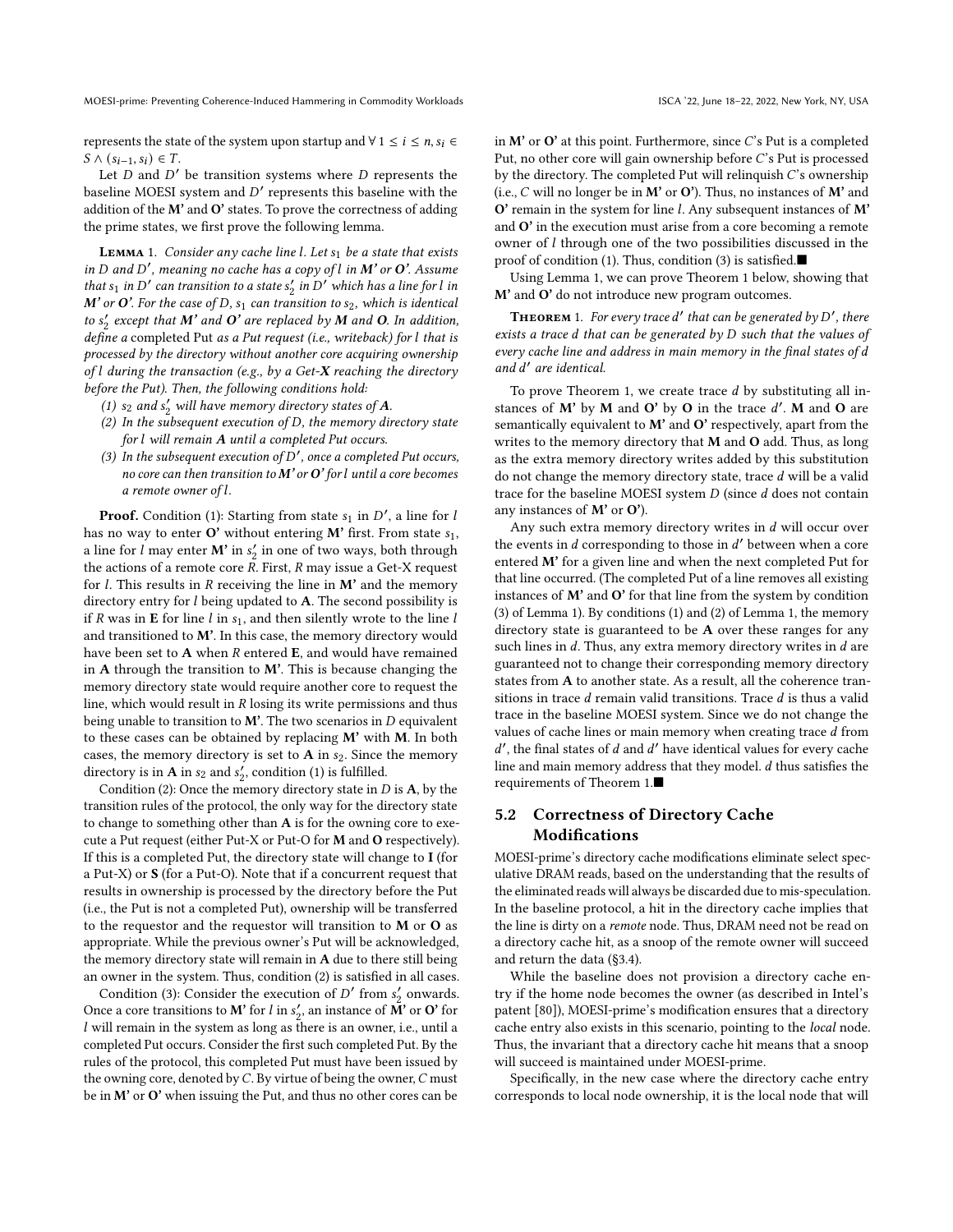represents the state of the system upon startup and  $\forall 1 \le i \le n, s_i \in$  $S \wedge (s_{i-1}, s_i) \in T$ .

Let  $D$  and  $D'$  be transition systems where  $D$  represents the baseline MOESI system and D' represents this baseline with the addition of the M' and O' states. To prove the correctness of adding the prime states, we first prove the following lemma.

**LEMMA** 1. Consider any cache line  $l$ . Let  $s_1$  be a state that exists in D and D', meaning no cache has a copy of  $l$  in  $M'$  or  $O'$ . Assume that  $s_1$  in D' can transition to a state  $s'_2$  in D' which has a line for l in M' or O'. For the case of D,  $s_1$  can transition to  $s_2$ , which is identical to  $s'_2$  except that  $M'$  and  $O'$  are replaced by  $M$  and  $O$ . In addition, define a completed Put as a Put request (i.e., writeback) for l that is processed by the directory without another core acquiring ownership of  $l$  during the transaction (e.g., by a Get-X reaching the directory before the Put). Then, the following conditions hold:

- (1)  $s_2$  and  $s'_2$  will have memory directory states of A.
- (2) In the subsequent execution of  $D$ , the memory directory state for  $l$  will remain  $A$  until a completed Put occurs.
- <span id="page-8-0"></span>(3) In the subsequent execution of  $\overline{D}'$ , once a completed Put occurs, no core can then transition to  $M'$  or  $O'$  for l until a core becomes a remote owner of l.

**Proof.** Condition (1): Starting from state  $s_1$  in  $D'$ , a line for l has no way to enter  $O'$  without entering M' first. From state  $s_1$ , a line for  $l$  may enter **M'** in  $s'_2$  in one of two ways, both through the actions of a remote core  $R$ . First,  $R$  may issue a Get-X request for  $l$ . This results in  $R$  receiving the line in  $M'$  and the memory directory entry for  $l$  being updated to  $A$ . The second possibility is if R was in **E** for line l in  $s<sub>1</sub>$ , and then silently wrote to the line l and transitioned to M'. In this case, the memory directory would have been set to  $A$  when  $R$  entered  $E$ , and would have remained in A through the transition to  $M'$ . This is because changing the memory directory state would require another core to request the line, which would result in  $R$  losing its write permissions and thus being unable to transition to  $M'$ . The two scenarios in  $D$  equivalent to these cases can be obtained by replacing M' with M. In both cases, the memory directory is set to  $A$  in  $s_2$ . Since the memory directory is in **A** in  $s_2$  and  $s'_2$ , condition (1) is fulfilled.

Condition (2): Once the memory directory state in  $D$  is  $A$ , by the transition rules of the protocol, the only way for the directory state to change to something other than A is for the owning core to execute a Put request (either Put-X or Put-O for M and O respectively). If this is a completed Put, the directory state will change to I (for a Put-X) or S (for a Put-O). Note that if a concurrent request that results in ownership is processed by the directory before the Put (i.e., the Put is not a completed Put), ownership will be transferred to the requestor and the requestor will transition to M or O as appropriate. While the previous owner's Put will be acknowledged, the memory directory state will remain in A due to there still being an owner in the system. Thus, condition (2) is satisfied in all cases.

Condition (3): Consider the execution of  $D'$  from  $s'_2$  onwards. Once a core transitions to  $\textbf{\textit{M}}^\star$  for  $l$  in  $s_2',$  an instance of  $\overset{\star}{\textbf{\textit{M}}^\star}$  or  $\textbf{\textit{O}}^\star$  for will remain in the system as long as there is an owner, i.e., until a completed Put occurs. Consider the first such completed Put. By the rules of the protocol, this completed Put must have been issued by the owning core, denoted by  $C$ . By virtue of being the owner,  $C$  must be in M' or O' when issuing the Put, and thus no other cores can be

in  $M'$  or  $O'$  at this point. Furthermore, since  $C'$ s Put is a completed Put, no other core will gain ownership before  $C$ 's Put is processed by the directory. The completed Put will relinquish  $C$ 's ownership (i.e.,  $C$  will no longer be in  $M'$  or  $O'$ ). Thus, no instances of  $M'$  and  $O'$  remain in the system for line *l*. Any subsequent instances of  $M'$ and O' in the execution must arise from a core becoming a remote owner of  $l$  through one of the two possibilities discussed in the proof of condition (1). Thus, condition (3) is satisfied.■

Using Lemma [1,](#page-8-0) we can prove Theorem [1](#page-8-1) below, showing that M' and O' do not introduce new program outcomes.

<span id="page-8-1"></span>**THEOREM** 1. For every trace  $d'$  that can be generated by  $D'$ , there exists a trace  $d$  that can be generated by  $D$  such that the values of every cache line and address in main memory in the final states of d and ′ are identical.

To prove Theorem [1,](#page-8-1) we create trace  $d$  by substituting all instances of M' by M and O' by O in the trace  $d'$ . M and O are semantically equivalent to M' and O' respectively, apart from the writes to the memory directory that M and O add. Thus, as long as the extra memory directory writes added by this substitution do not change the memory directory state, trace  $d$  will be a valid trace for the baseline MOESI system  $D$  (since  $d$  does not contain any instances of M' or O').

Any such extra memory directory writes in  $d$  will occur over the events in *d* corresponding to those in  $d'$  between when a core entered M' for a given line and when the next completed Put for that line occurred. (The completed Put of a line removes all existing instances of M' and O' for that line from the system by condition (3) of Lemma [1\)](#page-8-0). By conditions (1) and (2) of Lemma [1,](#page-8-0) the memory directory state is guaranteed to be A over these ranges for any such lines in  $d$ . Thus, any extra memory directory writes in  $d$  are guaranteed not to change their corresponding memory directory states from A to another state. As a result, all the coherence transitions in trace  $d$  remain valid transitions. Trace  $d$  is thus a valid trace in the baseline MOESI system. Since we do not change the values of cache lines or main memory when creating trace d from  $d'$ , the final states of  $d$  and  $d'$  have identical values for every cache line and main memory address that they model.  $d$  thus satisfies the requirements of Theorem [1.](#page-8-1)■

## 5.2 Correctness of Directory Cache Modifications

MOESI-prime's directory cache modifications eliminate select speculative DRAM reads, based on the understanding that the results of the eliminated reads will always be discarded due to mis-speculation. In the baseline protocol, a hit in the directory cache implies that the line is dirty on a remote node. Thus, DRAM need not be read on a directory cache hit, as a snoop of the remote owner will succeed and return the data [\(§3.4\)](#page-4-2).

While the baseline does not provision a directory cache entry if the home node becomes the owner (as described in Intel's patent [\[80\]](#page-14-26)), MOESI-prime's modification ensures that a directory cache entry also exists in this scenario, pointing to the local node. Thus, the invariant that a directory cache hit means that a snoop will succeed is maintained under MOESI-prime.

Specifically, in the new case where the directory cache entry corresponds to local node ownership, it is the local node that will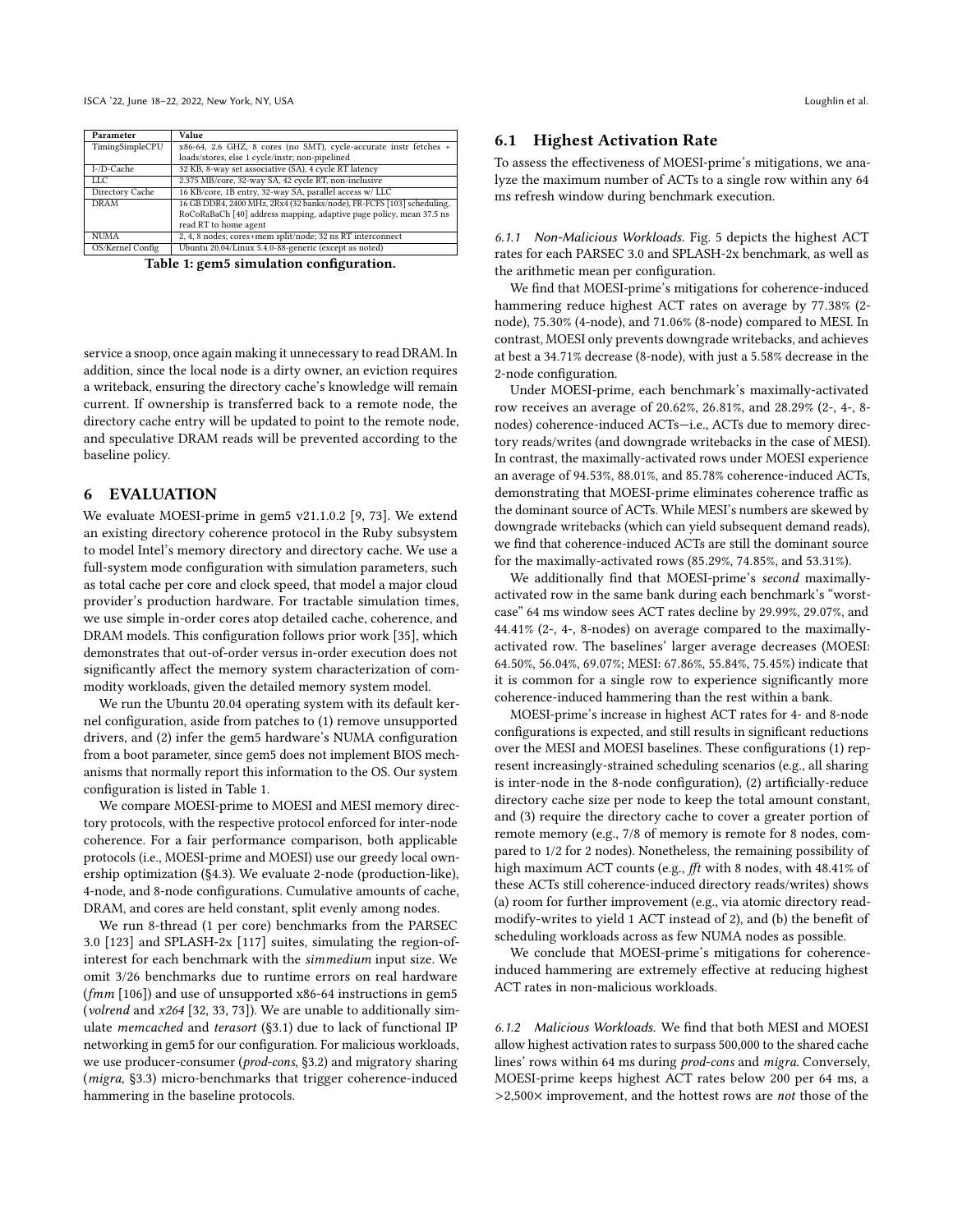<span id="page-9-1"></span>

| Parameter        | Value                                                                 |  |  |  |  |  |
|------------------|-----------------------------------------------------------------------|--|--|--|--|--|
| TimingSimpleCPU  | x86-64, 2.6 GHZ, 8 cores (no SMT), cycle-accurate instr fetches +     |  |  |  |  |  |
|                  | loads/stores, else 1 cycle/instr; non-pipelined                       |  |  |  |  |  |
| I-/D-Cache       | 32 KB, 8-way set associative (SA), 4 cycle RT latency                 |  |  |  |  |  |
| LLC.             | 2.375 MB/core, 32-way SA, 42 cycle RT, non-inclusive                  |  |  |  |  |  |
| Directory Cache  | 16 KB/core, 1B entry, 32-way SA, parallel access w/ LLC               |  |  |  |  |  |
| <b>DRAM</b>      | 16 GB DDR4, 2400 MHz, 2Rx4 (32 banks/node), FR-FCFS [103] scheduling, |  |  |  |  |  |
|                  | RoCoRaBaCh [40] address mapping, adaptive page policy, mean 37.5 ns   |  |  |  |  |  |
|                  | read RT to home agent                                                 |  |  |  |  |  |
| <b>NUMA</b>      | 2, 4, 8 nodes; cores+mem split/node; 32 ns RT interconnect            |  |  |  |  |  |
| OS/Kernel Config | Ubuntu 20.04/Linux 5.4.0-88-generic (except as noted)                 |  |  |  |  |  |

Table 1: gem5 simulation configuration.

service a snoop, once again making it unnecessary to read DRAM. In addition, since the local node is a dirty owner, an eviction requires a writeback, ensuring the directory cache's knowledge will remain current. If ownership is transferred back to a remote node, the directory cache entry will be updated to point to the remote node, and speculative DRAM reads will be prevented according to the baseline policy.

#### <span id="page-9-0"></span>6 EVALUATION

We evaluate MOESI-prime in gem5 v21.1.0.2 [\[9,](#page-12-3) [73\]](#page-13-12). We extend an existing directory coherence protocol in the Ruby subsystem to model Intel's memory directory and directory cache. We use a full-system mode configuration with simulation parameters, such as total cache per core and clock speed, that model a major cloud provider's production hardware. For tractable simulation times, we use simple in-order cores atop detailed cache, coherence, and DRAM models. This configuration follows prior work [\[35\]](#page-13-37), which demonstrates that out-of-order versus in-order execution does not significantly affect the memory system characterization of commodity workloads, given the detailed memory system model.

We run the Ubuntu 20.04 operating system with its default kernel configuration, aside from patches to (1) remove unsupported drivers, and (2) infer the gem5 hardware's NUMA configuration from a boot parameter, since gem5 does not implement BIOS mechanisms that normally report this information to the OS. Our system configuration is listed in [Table 1.](#page-9-1)

We compare MOESI-prime to MOESI and MESI memory directory protocols, with the respective protocol enforced for inter-node coherence. For a fair performance comparison, both applicable protocols (i.e., MOESI-prime and MOESI) use our greedy local ownership optimization [\(§4.3\)](#page-7-2). We evaluate 2-node (production-like), 4-node, and 8-node configurations. Cumulative amounts of cache, DRAM, and cores are held constant, split evenly among nodes.

We run 8-thread (1 per core) benchmarks from the PARSEC 3.0 [\[123\]](#page-14-14) and SPLASH-2x [\[117\]](#page-14-15) suites, simulating the region-ofinterest for each benchmark with the simmedium input size. We omit 3/26 benchmarks due to runtime errors on real hardware (fmm [\[106\]](#page-14-38)) and use of unsupported x86-64 instructions in gem5 (volrend and x264 [\[32,](#page-13-38) [33,](#page-13-39) [73\]](#page-13-12)). We are unable to additionally simulate memcached and terasort [\(§3.1\)](#page-3-2) due to lack of functional IP networking in gem5 for our configuration. For malicious workloads, we use producer-consumer (prod-cons, [§3.2\)](#page-3-0) and migratory sharing (migra, [§3.3\)](#page-4-1) micro-benchmarks that trigger coherence-induced hammering in the baseline protocols.

#### 6.1 Highest Activation Rate

To assess the effectiveness of MOESI-prime's mitigations, we analyze the maximum number of ACTs to a single row within any 64 ms refresh window during benchmark execution.

6.1.1 Non-Malicious Workloads. [Fig. 5](#page-10-0) depicts the highest ACT rates for each PARSEC 3.0 and SPLASH-2x benchmark, as well as the arithmetic mean per configuration.

We find that MOESI-prime's mitigations for coherence-induced hammering reduce highest ACT rates on average by 77.38% (2 node), 75.30% (4-node), and 71.06% (8-node) compared to MESI. In contrast, MOESI only prevents downgrade writebacks, and achieves at best a 34.71% decrease (8-node), with just a 5.58% decrease in the 2-node configuration.

Under MOESI-prime, each benchmark's maximally-activated row receives an average of 20.62%, 26.81%, and 28.29% (2-, 4-, 8 nodes) coherence-induced ACTs—i.e., ACTs due to memory directory reads/writes (and downgrade writebacks in the case of MESI). In contrast, the maximally-activated rows under MOESI experience an average of 94.53%, 88.01%, and 85.78% coherence-induced ACTs, demonstrating that MOESI-prime eliminates coherence traffic as the dominant source of ACTs. While MESI's numbers are skewed by downgrade writebacks (which can yield subsequent demand reads), we find that coherence-induced ACTs are still the dominant source for the maximally-activated rows (85.29%, 74.85%, and 53.31%).

We additionally find that MOESI-prime's second maximallyactivated row in the same bank during each benchmark's "worstcase" 64 ms window sees ACT rates decline by 29.99%, 29.07%, and 44.41% (2-, 4-, 8-nodes) on average compared to the maximallyactivated row. The baselines' larger average decreases (MOESI: 64.50%, 56.04%, 69.07%; MESI: 67.86%, 55.84%, 75.45%) indicate that it is common for a single row to experience significantly more coherence-induced hammering than the rest within a bank.

MOESI-prime's increase in highest ACT rates for 4- and 8-node configurations is expected, and still results in significant reductions over the MESI and MOESI baselines. These configurations (1) represent increasingly-strained scheduling scenarios (e.g., all sharing is inter-node in the 8-node configuration), (2) artificially-reduce directory cache size per node to keep the total amount constant, and (3) require the directory cache to cover a greater portion of remote memory (e.g., 7/8 of memory is remote for 8 nodes, compared to 1/2 for 2 nodes). Nonetheless, the remaining possibility of high maximum ACT counts (e.g., fft with 8 nodes, with 48.41% of these ACTs still coherence-induced directory reads/writes) shows (a) room for further improvement (e.g., via atomic directory readmodify-writes to yield 1 ACT instead of 2), and (b) the benefit of scheduling workloads across as few NUMA nodes as possible.

We conclude that MOESI-prime's mitigations for coherenceinduced hammering are extremely effective at reducing highest ACT rates in non-malicious workloads.

6.1.2 Malicious Workloads. We find that both MESI and MOESI allow highest activation rates to surpass 500,000 to the shared cache lines' rows within 64 ms during prod-cons and migra. Conversely, MOESI-prime keeps highest ACT rates below 200 per 64 ms, a >2,500× improvement, and the hottest rows are not those of the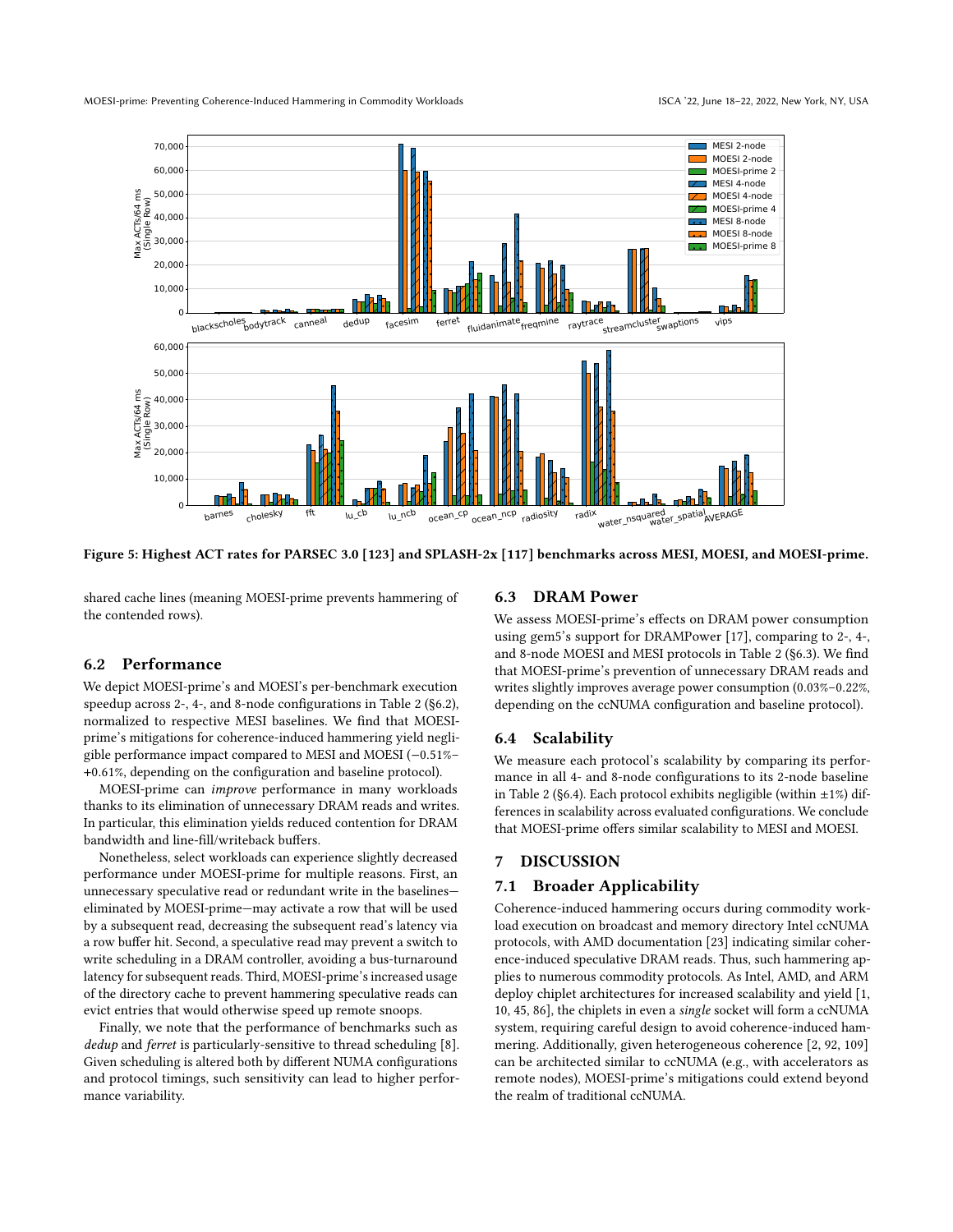<span id="page-10-0"></span>

Figure 5: Highest ACT rates for PARSEC 3.0 [\[123\]](#page-14-14) and SPLASH-2x [\[117\]](#page-14-15) benchmarks across MESI, MOESI, and MOESI-prime.

shared cache lines (meaning MOESI-prime prevents hammering of the contended rows).

#### <span id="page-10-1"></span>6.2 Performance

We depict MOESI-prime's and MOESI's per-benchmark execution speedup across 2-, 4-, and 8-node configurations in [Table 2](#page-11-1) [\(§6.2\)](#page-10-1), normalized to respective MESI baselines. We find that MOESIprime's mitigations for coherence-induced hammering yield negligible performance impact compared to MESI and MOESI (−0.51%– +0.61%, depending on the configuration and baseline protocol).

MOESI-prime can improve performance in many workloads thanks to its elimination of unnecessary DRAM reads and writes. In particular, this elimination yields reduced contention for DRAM bandwidth and line-fill/writeback buffers.

Nonetheless, select workloads can experience slightly decreased performance under MOESI-prime for multiple reasons. First, an unnecessary speculative read or redundant write in the baselines eliminated by MOESI-prime—may activate a row that will be used by a subsequent read, decreasing the subsequent read's latency via a row buffer hit. Second, a speculative read may prevent a switch to write scheduling in a DRAM controller, avoiding a bus-turnaround latency for subsequent reads. Third, MOESI-prime's increased usage of the directory cache to prevent hammering speculative reads can evict entries that would otherwise speed up remote snoops.

Finally, we note that the performance of benchmarks such as dedup and ferret is particularly-sensitive to thread scheduling [\[8\]](#page-12-17). Given scheduling is altered both by different NUMA configurations and protocol timings, such sensitivity can lead to higher performance variability.

#### <span id="page-10-2"></span>6.3 DRAM Power

We assess MOESI-prime's effects on DRAM power consumption using gem5's support for DRAMPower [\[17\]](#page-12-18), comparing to 2-, 4-, and 8-node MOESI and MESI protocols in [Table 2](#page-11-1) [\(§6.3\)](#page-10-2). We find that MOESI-prime's prevention of unnecessary DRAM reads and writes slightly improves average power consumption (0.03%–0.22%, depending on the ccNUMA configuration and baseline protocol).

#### <span id="page-10-3"></span>6.4 Scalability

We measure each protocol's scalability by comparing its performance in all 4- and 8-node configurations to its 2-node baseline in [Table 2](#page-11-1) [\(§6.4\)](#page-10-3). Each protocol exhibits negligible (within  $\pm 1\%$ ) differences in scalability across evaluated configurations. We conclude that MOESI-prime offers similar scalability to MESI and MOESI.

#### 7 DISCUSSION

#### 7.1 Broader Applicability

Coherence-induced hammering occurs during commodity workload execution on broadcast and memory directory Intel ccNUMA protocols, with AMD documentation [\[23\]](#page-12-11) indicating similar coherence-induced speculative DRAM reads. Thus, such hammering applies to numerous commodity protocols. As Intel, AMD, and ARM deploy chiplet architectures for increased scalability and yield [\[1,](#page-12-19) [10,](#page-12-20) [45,](#page-13-40) [86\]](#page-14-39), the chiplets in even a single socket will form a ccNUMA system, requiring careful design to avoid coherence-induced hammering. Additionally, given heterogeneous coherence [\[2,](#page-12-21) [92,](#page-14-40) [109\]](#page-14-41) can be architected similar to ccNUMA (e.g., with accelerators as remote nodes), MOESI-prime's mitigations could extend beyond the realm of traditional ccNUMA.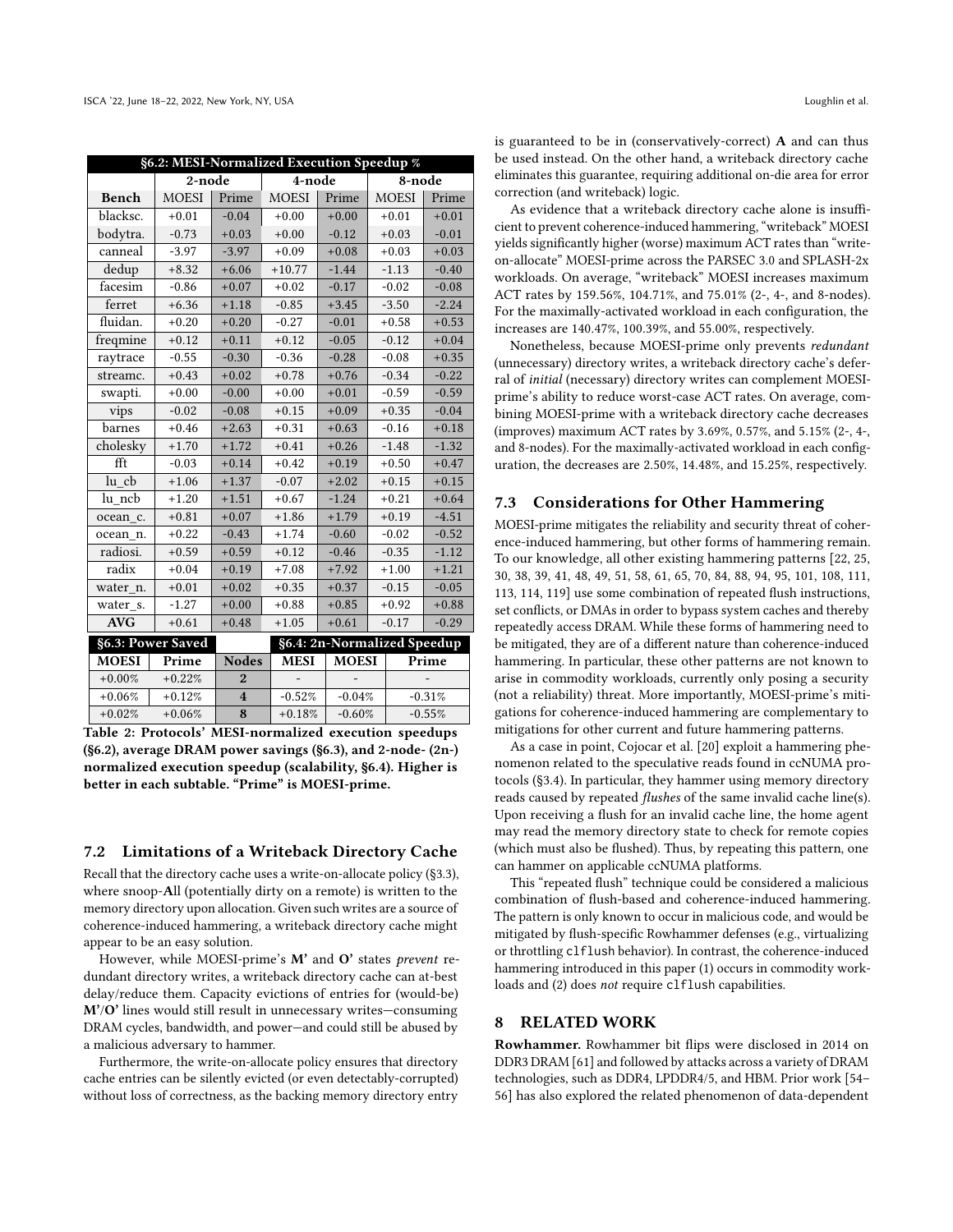<span id="page-11-1"></span>

| §6.2: MESI-Normalized Execution Speedup % |              |                         |              |                             |              |          |  |  |  |  |  |
|-------------------------------------------|--------------|-------------------------|--------------|-----------------------------|--------------|----------|--|--|--|--|--|
|                                           | 2-node       |                         | 4-node       |                             |              | 8-node   |  |  |  |  |  |
| <b>Bench</b>                              | <b>MOESI</b> | Prime                   | <b>MOESI</b> | Prime                       | <b>MOESI</b> | Prime    |  |  |  |  |  |
| blacksc.                                  | $+0.01$      | $-0.04$                 | $+0.00$      | $+0.00$                     | $+0.01$      | $+0.01$  |  |  |  |  |  |
| bodytra.                                  | $-0.73$      | $+0.03$                 | $+0.00$      | $-0.12$                     | $+0.03$      | $-0.01$  |  |  |  |  |  |
| canneal                                   | $-3.97$      | $-3.97$                 | $+0.09$      | $+0.08$                     | $+0.03$      | $+0.03$  |  |  |  |  |  |
| dedup                                     | $+8.32$      | $+6.06$                 | $+10.77$     | $-1.44$                     | $-1.13$      | $-0.40$  |  |  |  |  |  |
| facesim                                   | $-0.86$      | $+0.07$                 | $+0.02$      | $-0.17$                     | $-0.02$      | $-0.08$  |  |  |  |  |  |
| ferret                                    | $+6.36$      | $+1.18$                 | $-0.85$      | $+3.45$                     | $-3.50$      | $-2.24$  |  |  |  |  |  |
| fluidan.                                  | $+0.20$      | $+0.20$                 | $-0.27$      | $-0.01$                     | $+0.58$      | $+0.53$  |  |  |  |  |  |
| freqmine                                  | $+0.12$      | $+0.11$                 | $+0.12$      | $-0.05$                     | $-0.12$      | $+0.04$  |  |  |  |  |  |
| raytrace                                  | $-0.55$      | $-0.30$                 | $-0.36$      | $-0.28$                     | $-0.08$      | $+0.35$  |  |  |  |  |  |
| streamc.                                  | $+0.43$      | $+0.02$                 | $+0.78$      | $+0.76$                     | $-0.34$      | $-0.22$  |  |  |  |  |  |
| swapti.                                   | $+0.00$      | $-0.00$                 | $+0.00$      | $+0.01$                     | $-0.59$      | $-0.59$  |  |  |  |  |  |
| vips                                      | $-0.02$      | $-0.08$                 | $+0.15$      | $+0.09$                     | $+0.35$      | $-0.04$  |  |  |  |  |  |
| barnes                                    | $+0.46$      | $+2.63$                 | $+0.31$      | $+0.63$                     | $-0.16$      | $+0.18$  |  |  |  |  |  |
| cholesky                                  | $+1.70$      | $+1.72$                 | $+0.41$      | $+0.26$                     | $-1.48$      | $-1.32$  |  |  |  |  |  |
| fft                                       | $-0.03$      | $+0.14$                 | $+0.42$      | $+0.19$                     | $+0.50$      | $+0.47$  |  |  |  |  |  |
| $lu$ <sub>_<math>cb</math></sub>          | $+1.06$      | $+1.37$                 | $-0.07$      | $+2.02$                     | $+0.15$      | $+0.15$  |  |  |  |  |  |
| lu ncb                                    | $+1.20$      | $+1.51$                 | $+0.67$      | $-1.24$                     | $+0.21$      | $+0.64$  |  |  |  |  |  |
| ocean c.                                  | $+0.81$      | $+0.07$                 | $+1.86$      | $+1.79$                     | $+0.19$      | $-4.51$  |  |  |  |  |  |
| ocean n.                                  | $+0.22$      | $-0.43$                 | $+1.74$      | $-0.60$                     | $-0.02$      | $-0.52$  |  |  |  |  |  |
| radiosi.                                  | $+0.59$      | $+0.59$                 | $+0.12$      | $-0.46$                     | $-0.35$      | $-1.12$  |  |  |  |  |  |
| radix                                     | $+0.04$      | $+0.19$                 | $+7.08$      | $+7.92$                     | $+1.00$      | $+1.21$  |  |  |  |  |  |
| water n.                                  | $+0.01$      | $+0.02$                 | $+0.35$      | $+0.37$                     | $-0.15$      | $-0.05$  |  |  |  |  |  |
| water s.                                  | $-1.27$      | $+0.00$                 | $+0.88$      | $+0.85$                     | $+0.92$      | $+0.88$  |  |  |  |  |  |
| <b>AVG</b>                                | $+0.61$      | $+0.48$                 | $+1.05$      | $+0.61$                     | $-0.17$      | $-0.29$  |  |  |  |  |  |
| §6.3: Power Saved                         |              |                         |              | §6.4: 2n-Normalized Speedup |              |          |  |  |  |  |  |
| <b>MOESI</b>                              | Prime        | <b>Nodes</b>            | <b>MESI</b>  | <b>MOESI</b>                |              | Prime    |  |  |  |  |  |
| $+0.00%$                                  | $+0.22%$     | $\overline{2}$          |              |                             |              |          |  |  |  |  |  |
| $+0.06%$                                  | $+0.12%$     | $\overline{\mathbf{4}}$ | $-0.52%$     | $-0.04%$                    |              | $-0.31%$ |  |  |  |  |  |
| $+0.02%$                                  | $+0.06%$     | 8                       | $+0.18%$     | $-0.60%$                    | $-0.55%$     |          |  |  |  |  |  |

Table 2: Protocols' MESI-normalized execution speedups [\(§6.2\)](#page-10-1), average DRAM power savings [\(§6.3\)](#page-10-2), and 2-node- (2n-) normalized execution speedup (scalability, [§6.4\)](#page-10-3). Higher is better in each subtable. "Prime" is MOESI-prime.

#### <span id="page-11-0"></span>7.2 Limitations of a Writeback Directory Cache

Recall that the directory cache uses a write-on-allocate policy [\(§3.3\)](#page-4-1), where snoop-All (potentially dirty on a remote) is written to the memory directory upon allocation. Given such writes are a source of coherence-induced hammering, a writeback directory cache might appear to be an easy solution.

However, while MOESI-prime's M' and O' states prevent redundant directory writes, a writeback directory cache can at-best delay/reduce them. Capacity evictions of entries for (would-be) M'/O' lines would still result in unnecessary writes—consuming DRAM cycles, bandwidth, and power—and could still be abused by a malicious adversary to hammer.

Furthermore, the write-on-allocate policy ensures that directory cache entries can be silently evicted (or even detectably-corrupted) without loss of correctness, as the backing memory directory entry

is guaranteed to be in (conservatively-correct) A and can thus be used instead. On the other hand, a writeback directory cache eliminates this guarantee, requiring additional on-die area for error correction (and writeback) logic.

As evidence that a writeback directory cache alone is insufficient to prevent coherence-induced hammering, "writeback" MOESI yields significantly higher (worse) maximum ACT rates than "writeon-allocate" MOESI-prime across the PARSEC 3.0 and SPLASH-2x workloads. On average, "writeback" MOESI increases maximum ACT rates by 159.56%, 104.71%, and 75.01% (2-, 4-, and 8-nodes). For the maximally-activated workload in each configuration, the increases are 140.47%, 100.39%, and 55.00%, respectively.

Nonetheless, because MOESI-prime only prevents redundant (unnecessary) directory writes, a writeback directory cache's deferral of initial (necessary) directory writes can complement MOESIprime's ability to reduce worst-case ACT rates. On average, combining MOESI-prime with a writeback directory cache decreases (improves) maximum ACT rates by 3.69%, 0.57%, and 5.15% (2-, 4-, and 8-nodes). For the maximally-activated workload in each configuration, the decreases are 2.50%, 14.48%, and 15.25%, respectively.

#### 7.3 Considerations for Other Hammering

MOESI-prime mitigates the reliability and security threat of coherence-induced hammering, but other forms of hammering remain. To our knowledge, all other existing hammering patterns [\[22,](#page-12-1) [25,](#page-13-1) [30,](#page-13-2) [38,](#page-13-3) [39,](#page-13-4) [41,](#page-13-5) [48,](#page-13-6) [49,](#page-13-7) [51,](#page-13-8) [58,](#page-13-9) [61,](#page-13-0) [65,](#page-13-10) [70,](#page-13-11) [84,](#page-14-1) [88,](#page-14-2) [94,](#page-14-3) [95,](#page-14-4) [101,](#page-14-5) [108,](#page-14-6) [111,](#page-14-7) [113,](#page-14-42) [114,](#page-14-8) [119\]](#page-14-9) use some combination of repeated flush instructions, set conflicts, or DMAs in order to bypass system caches and thereby repeatedly access DRAM. While these forms of hammering need to be mitigated, they are of a different nature than coherence-induced hammering. In particular, these other patterns are not known to arise in commodity workloads, currently only posing a security (not a reliability) threat. More importantly, MOESI-prime's mitigations for coherence-induced hammering are complementary to mitigations for other current and future hammering patterns.

As a case in point, Cojocar et al. [\[20\]](#page-12-0) exploit a hammering phenomenon related to the speculative reads found in ccNUMA protocols [\(§3.4\)](#page-4-2). In particular, they hammer using memory directory reads caused by repeated flushes of the same invalid cache line(s). Upon receiving a flush for an invalid cache line, the home agent may read the memory directory state to check for remote copies (which must also be flushed). Thus, by repeating this pattern, one can hammer on applicable ccNUMA platforms.

This "repeated flush" technique could be considered a malicious combination of flush-based and coherence-induced hammering. The pattern is only known to occur in malicious code, and would be mitigated by flush-specific Rowhammer defenses (e.g., virtualizing or throttling clflush behavior). In contrast, the coherence-induced hammering introduced in this paper (1) occurs in commodity workloads and (2) does not require clflush capabilities.

#### 8 RELATED WORK

Rowhammer. Rowhammer bit flips were disclosed in 2014 on DDR3 DRAM [\[61\]](#page-13-0) and followed by attacks across a variety of DRAM technologies, such as DDR4, LPDDR4/5, and HBM. Prior work [\[54–](#page-13-41) [56\]](#page-13-42) has also explored the related phenomenon of data-dependent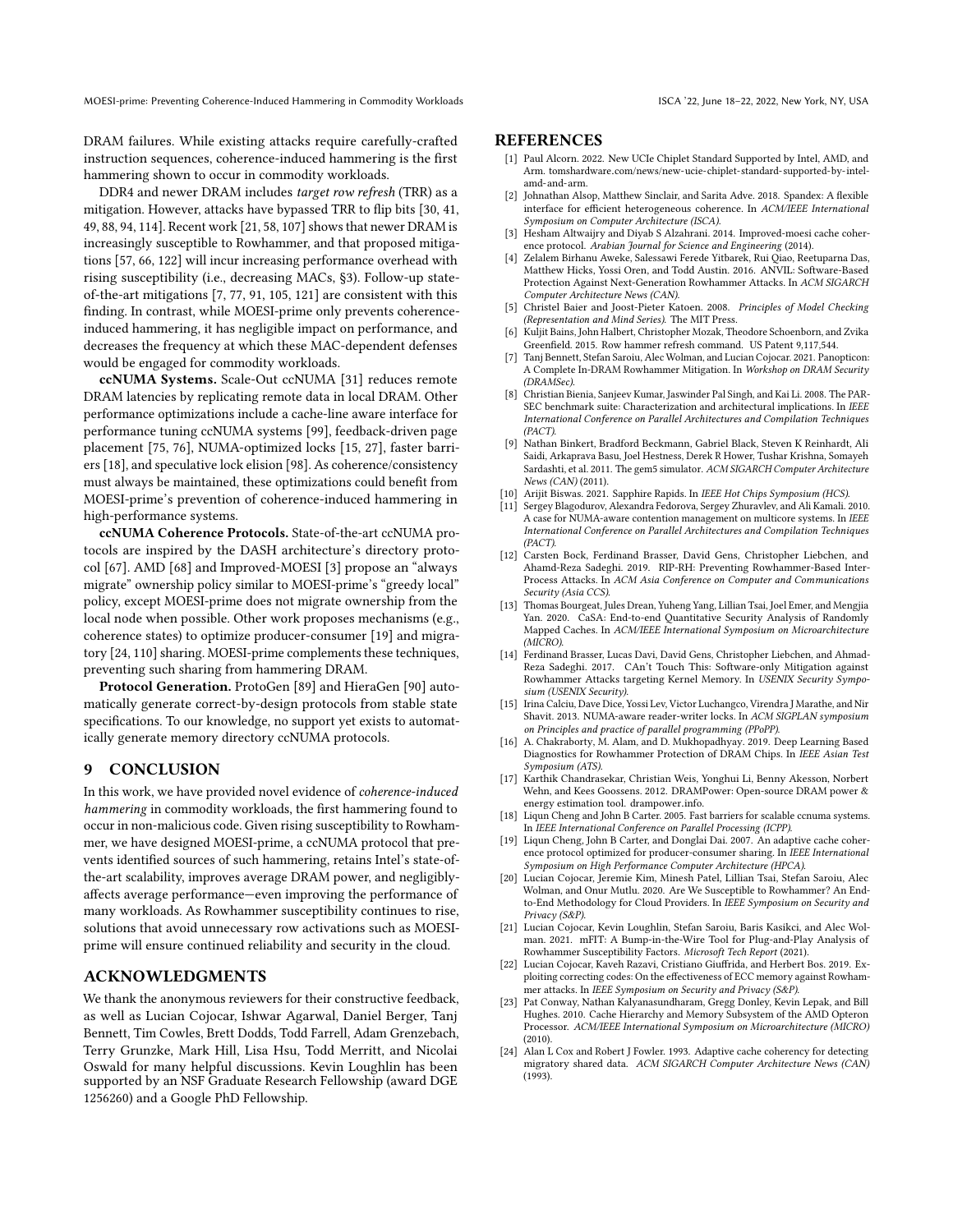DRAM failures. While existing attacks require carefully-crafted instruction sequences, coherence-induced hammering is the first hammering shown to occur in commodity workloads.

DDR4 and newer DRAM includes target row refresh (TRR) as a mitigation. However, attacks have bypassed TRR to flip bits [\[30,](#page-13-2) [41,](#page-13-5) [49,](#page-13-7) [88,](#page-14-2) [94,](#page-14-3) [114\]](#page-14-8). Recent work [\[21,](#page-12-12) [58,](#page-13-9) [107\]](#page-14-10) shows that newer DRAM is increasingly susceptible to Rowhammer, and that proposed mitigations [\[57,](#page-13-43) [66,](#page-13-18) [122\]](#page-14-22) will incur increasing performance overhead with rising susceptibility (i.e., decreasing MACs, [§3\)](#page-2-2). Follow-up stateof-the-art mitigations [\[7,](#page-12-6) [77,](#page-14-16) [91,](#page-14-17) [105,](#page-14-18) [121\]](#page-14-21) are consistent with this finding. In contrast, while MOESI-prime only prevents coherenceinduced hammering, it has negligible impact on performance, and decreases the frequency at which these MAC-dependent defenses would be engaged for commodity workloads.

ccNUMA Systems. Scale-Out ccNUMA [\[31\]](#page-13-44) reduces remote DRAM latencies by replicating remote data in local DRAM. Other performance optimizations include a cache-line aware interface for performance tuning ccNUMA systems [\[99\]](#page-14-43), feedback-driven page placement [\[75,](#page-13-45) [76\]](#page-13-46), NUMA-optimized locks [\[15,](#page-12-22) [27\]](#page-13-47), faster barriers [\[18\]](#page-12-23), and speculative lock elision [\[98\]](#page-14-44). As coherence/consistency must always be maintained, these optimizations could benefit from MOESI-prime's prevention of coherence-induced hammering in high-performance systems.

ccNUMA Coherence Protocols. State-of-the-art ccNUMA protocols are inspired by the DASH architecture's directory protocol [\[67\]](#page-13-48). AMD [\[68\]](#page-13-35) and Improved-MOESI [\[3\]](#page-12-15) propose an "always migrate" ownership policy similar to MOESI-prime's "greedy local" policy, except MOESI-prime does not migrate ownership from the local node when possible. Other work proposes mechanisms (e.g., coherence states) to optimize producer-consumer [\[19\]](#page-12-13) and migratory [\[24,](#page-12-2) [110\]](#page-14-12) sharing. MOESI-prime complements these techniques, preventing such sharing from hammering DRAM.

Protocol Generation. ProtoGen [\[89\]](#page-14-45) and HieraGen [\[90\]](#page-14-46) automatically generate correct-by-design protocols from stable state specifications. To our knowledge, no support yet exists to automatically generate memory directory ccNUMA protocols.

## 9 CONCLUSION

In this work, we have provided novel evidence of coherence-induced hammering in commodity workloads, the first hammering found to occur in non-malicious code. Given rising susceptibility to Rowhammer, we have designed MOESI-prime, a ccNUMA protocol that prevents identified sources of such hammering, retains Intel's state-ofthe-art scalability, improves average DRAM power, and negligiblyaffects average performance—even improving the performance of many workloads. As Rowhammer susceptibility continues to rise, solutions that avoid unnecessary row activations such as MOESIprime will ensure continued reliability and security in the cloud.

## ACKNOWLEDGMENTS

We thank the anonymous reviewers for their constructive feedback, as well as Lucian Cojocar, Ishwar Agarwal, Daniel Berger, Tanj Bennett, Tim Cowles, Brett Dodds, Todd Farrell, Adam Grenzebach, Terry Grunzke, Mark Hill, Lisa Hsu, Todd Merritt, and Nicolai Oswald for many helpful discussions. Kevin Loughlin has been supported by an NSF Graduate Research Fellowship (award DGE 1256260) and a Google PhD Fellowship.

#### **REFERENCES**

- <span id="page-12-19"></span>[1] Paul Alcorn. 2022. New UCIe Chiplet Standard Supported by Intel, AMD, and Arm. tomshardware.[com/news/new-ucie-chiplet-standard-supported-by-intel](tomshardware.com/news/new-ucie-chiplet-standard-supported-by-intel-amd-and-arm)[amd-and-arm.](tomshardware.com/news/new-ucie-chiplet-standard-supported-by-intel-amd-and-arm)
- <span id="page-12-21"></span>Johnathan Alsop, Matthew Sinclair, and Sarita Adve. 2018. Spandex: A flexible interface for efficient heterogeneous coherence. In ACM/IEEE International Symposium on Computer Architecture (ISCA).
- <span id="page-12-15"></span>[3] Hesham Altwaijry and Diyab S Alzahrani. 2014. Improved-moesi cache coherence protocol. Arabian Journal for Science and Engineering (2014).
- <span id="page-12-4"></span>[4] Zelalem Birhanu Aweke, Salessawi Ferede Yitbarek, Rui Qiao, Reetuparna Das, Matthew Hicks, Yossi Oren, and Todd Austin. 2016. ANVIL: Software-Based Protection Against Next-Generation Rowhammer Attacks. In ACM SIGARCH Computer Architecture News (CAN).
- <span id="page-12-16"></span>[5] Christel Baier and Joost-Pieter Katoen. 2008. Principles of Model Checking (Representation and Mind Series). The MIT Press.
- <span id="page-12-5"></span>[6] Kuljit Bains, John Halbert, Christopher Mozak, Theodore Schoenborn, and Zvika Greenfield. 2015. Row hammer refresh command. US Patent 9,117,544.
- <span id="page-12-6"></span>[7] Tanj Bennett, Stefan Saroiu, Alec Wolman, and Lucian Cojocar. 2021. Panopticon: A Complete In-DRAM Rowhammer Mitigation. In Workshop on DRAM Security (DRAMSec).
- <span id="page-12-17"></span>[8] Christian Bienia, Sanjeev Kumar, Jaswinder Pal Singh, and Kai Li. 2008. The PAR-SEC benchmark suite: Characterization and architectural implications. In IEEE International Conference on Parallel Architectures and Compilation Techniques (PACT).
- <span id="page-12-3"></span>[9] Nathan Binkert, Bradford Beckmann, Gabriel Black, Steven K Reinhardt, Ali Saidi, Arkaprava Basu, Joel Hestness, Derek R Hower, Tushar Krishna, Somayeh Sardashti, et al. 2011. The gem5 simulator. ACM SIGARCH Computer Architecture News (CAN) (2011).
- <span id="page-12-20"></span>[10] Arijit Biswas. 2021. Sapphire Rapids. In IEEE Hot Chips Symposium (HCS).
- <span id="page-12-10"></span>[11] Sergey Blagodurov, Alexandra Fedorova, Sergey Zhuravlev, and Ali Kamali. 2010. A case for NUMA-aware contention management on multicore systems. In IEEE International Conference on Parallel Architectures and Compilation Techniques (PACT).
- <span id="page-12-7"></span>[12] Carsten Bock, Ferdinand Brasser, David Gens, Christopher Liebchen, and Ahamd-Reza Sadeghi. 2019. RIP-RH: Preventing Rowhammer-Based Inter-Process Attacks. In ACM Asia Conference on Computer and Communications Security (Asia CCS).
- <span id="page-12-14"></span>[13] Thomas Bourgeat, Jules Drean, Yuheng Yang, Lillian Tsai, Joel Emer, and Mengjia Yan. 2020. CaSA: End-to-end Quantitative Security Analysis of Randomly Mapped Caches. In ACM/IEEE International Symposium on Microarchitecture (MICRO).
- <span id="page-12-8"></span>[14] Ferdinand Brasser, Lucas Davi, David Gens, Christopher Liebchen, and Ahmad-Reza Sadeghi. 2017. CAn't Touch This: Software-only Mitigation against Rowhammer Attacks targeting Kernel Memory. In USENIX Security Symposium (USENIX Security).
- <span id="page-12-22"></span>[15] Irina Calciu, Dave Dice, Yossi Lev, Victor Luchangco, Virendra J Marathe, and Nir Shavit. 2013. NUMA-aware reader-writer locks. In ACM SIGPLAN symposium on Principles and practice of parallel programming (PPoPP).
- <span id="page-12-9"></span>[16] A. Chakraborty, M. Alam, and D. Mukhopadhyay. 2019. Deep Learning Based Diagnostics for Rowhammer Protection of DRAM Chips. In IEEE Asian Test Symposium (ATS).
- <span id="page-12-18"></span>[17] Karthik Chandrasekar, Christian Weis, Yonghui Li, Benny Akesson, Norbert Wehn, and Kees Goossens. 2012. DRAMPower: Open-source DRAM power & energy estimation tool. [drampower](drampower.info).info.
- <span id="page-12-23"></span>[18] Liqun Cheng and John B Carter. 2005. Fast barriers for scalable ccnuma systems. In IEEE International Conference on Parallel Processing (ICPP).
- <span id="page-12-13"></span>[19] Liqun Cheng, John B Carter, and Donglai Dai. 2007. An adaptive cache coherence protocol optimized for producer-consumer sharing. In IEEE International Symposium on High Performance Computer Architecture (HPCA).
- <span id="page-12-0"></span>[20] Lucian Cojocar, Jeremie Kim, Minesh Patel, Lillian Tsai, Stefan Saroiu, Alec Wolman, and Onur Mutlu. 2020. Are We Susceptible to Rowhammer? An Endto-End Methodology for Cloud Providers. In IEEE Symposium on Security and Privacy (S&P).
- <span id="page-12-12"></span>[21] Lucian Cojocar, Kevin Loughlin, Stefan Saroiu, Baris Kasikci, and Alec Wolman. 2021. mFIT: A Bump-in-the-Wire Tool for Plug-and-Play Analysis of Rowhammer Susceptibility Factors. Microsoft Tech Report (2021).
- <span id="page-12-1"></span>[22] Lucian Cojocar, Kaveh Razavi, Cristiano Giuffrida, and Herbert Bos. 2019. Exploiting correcting codes: On the effectiveness of ECC memory against Rowhammer attacks. In IEEE Symposium on Security and Privacy (S&P).
- <span id="page-12-11"></span>[23] Pat Conway, Nathan Kalyanasundharam, Gregg Donley, Kevin Lepak, and Bill Hughes. 2010. Cache Hierarchy and Memory Subsystem of the AMD Opteron Processor. ACM/IEEE International Symposium on Microarchitecture (MICRO) (2010).
- <span id="page-12-2"></span>[24] Alan L Cox and Robert J Fowler. 1993. Adaptive cache coherency for detecting migratory shared data. ACM SIGARCH Computer Architecture News (CAN) (1993).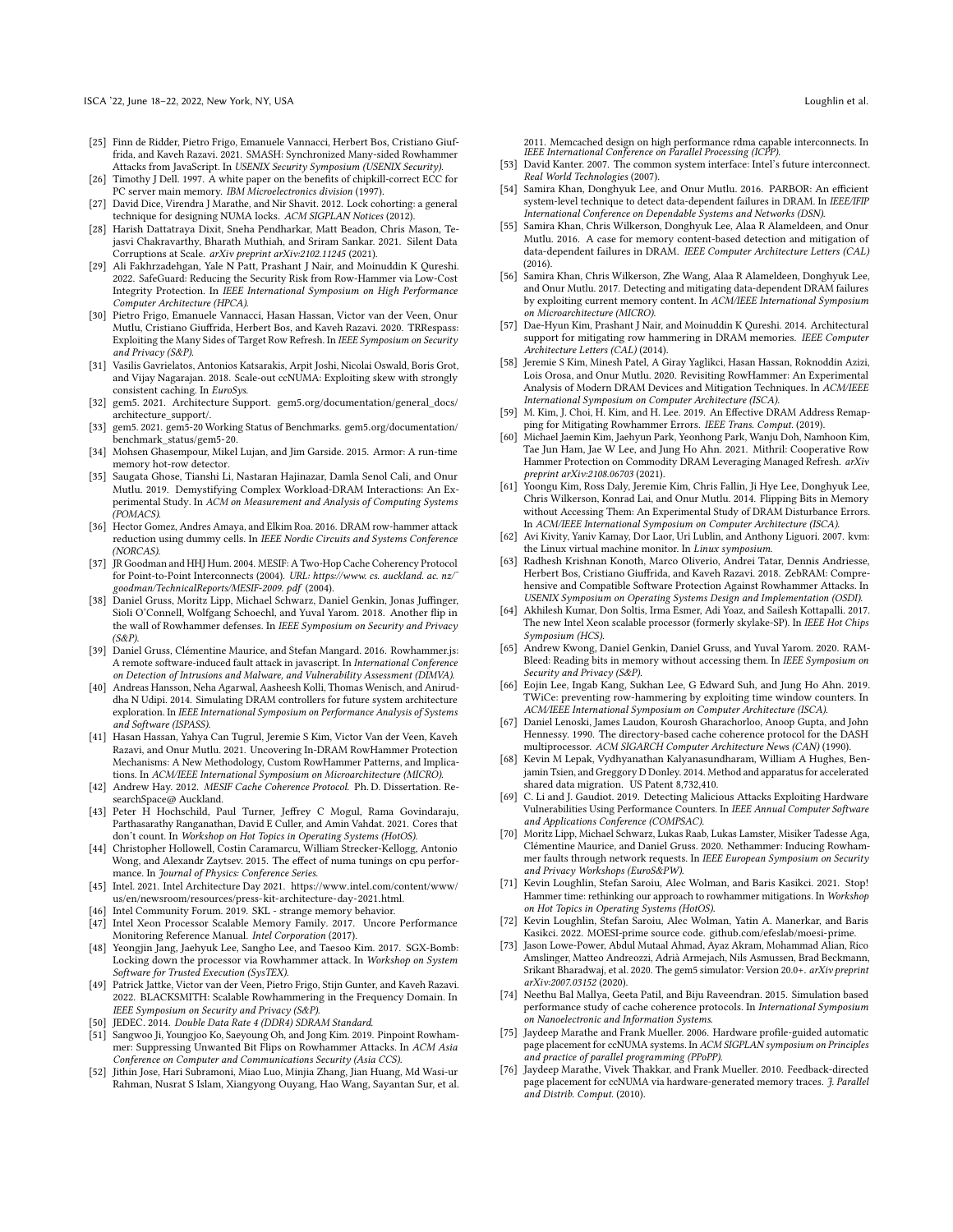- <span id="page-13-1"></span>[25] Finn de Ridder, Pietro Frigo, Emanuele Vannacci, Herbert Bos, Cristiano Giuffrida, and Kaveh Razavi. 2021. SMASH: Synchronized Many-sided Rowhammer Attacks from JavaScript. In USENIX Security Symposium (USENIX Security).
- <span id="page-13-27"></span>[26] Timothy J Dell. 1997. A white paper on the benefits of chipkill-correct ECC for PC server main memory. IBM Microelectronics division (1997).
- <span id="page-13-47"></span>[27] David Dice, Virendra J Marathe, and Nir Shavit. 2012. Lock cohorting: a general technique for designing NUMA locks. ACM SIGPLAN Notices (2012).
- <span id="page-13-33"></span>[28] Harish Dattatraya Dixit, Sneha Pendharkar, Matt Beadon, Chris Mason, Tejasvi Chakravarthy, Bharath Muthiah, and Sriram Sankar. 2021. Silent Data Corruptions at Scale. arXiv preprint arXiv:2102.11245 (2021).
- <span id="page-13-14"></span>[29] Ali Fakhrzadehgan, Yale N Patt, Prashant J Nair, and Moinuddin K Qureshi. 2022. SafeGuard: Reducing the Security Risk from Row-Hammer via Low-Cost Integrity Protection. In IEEE International Symposium on High Performance Computer Architecture (HPCA).
- <span id="page-13-2"></span>[30] Pietro Frigo, Emanuele Vannacci, Hasan Hassan, Victor van der Veen, Onur Mutlu, Cristiano Giuffrida, Herbert Bos, and Kaveh Razavi. 2020. TRRespass: Exploiting the Many Sides of Target Row Refresh. In IEEE Symposium on Security and Privacy (S&P).
- <span id="page-13-44"></span>[31] Vasilis Gavrielatos, Antonios Katsarakis, Arpit Joshi, Nicolai Oswald, Boris Grot, and Vijay Nagarajan. 2018. Scale-out ccNUMA: Exploiting skew with strongly consistent caching. In EuroSys.
- <span id="page-13-38"></span>[32] gem5. 2021. Architecture Support. gem5.[org/documentation/general\\_docs/](gem5.org/documentation/general_docs/architecture_support/) [architecture\\_support/.](gem5.org/documentation/general_docs/architecture_support/)
- <span id="page-13-39"></span>[33] gem5. 2021. gem5-20 Working Status of Benchmarks. gem5.[org/documentation/](gem5.org/documentation/benchmark_status/gem5-20) [benchmark\\_status/gem5-20.](gem5.org/documentation/benchmark_status/gem5-20)
- <span id="page-13-15"></span>[34] Mohsen Ghasempour, Mikel Lujan, and Jim Garside. 2015. Armor: A run-time memory hot-row detector.
- <span id="page-13-37"></span>[35] Saugata Ghose, Tianshi Li, Nastaran Hajinazar, Damla Senol Cali, and Onur Mutlu. 2019. Demystifying Complex Workload-DRAM Interactions: An Experimental Study. In ACM on Measurement and Analysis of Computing Systems (POMACS).
- <span id="page-13-16"></span>[36] Hector Gomez, Andres Amaya, and Elkim Roa. 2016. DRAM row-hammer attack reduction using dummy cells. In IEEE Nordic Circuits and Systems Conference (NORCAS).
- <span id="page-13-30"></span>[37] JR Goodman and HHJ Hum. 2004. MESIF: A Two-Hop Cache Coherency Protocol for Point-to-Point Interconnects (2004). URL: https://www. cs. auckland. ac. nz/ goodman/TechnicalReports/MESIF-2009. pdf (2004).
- <span id="page-13-3"></span>[38] Daniel Gruss, Moritz Lipp, Michael Schwarz, Daniel Genkin, Jonas Juffinger, Sioli O'Connell, Wolfgang Schoechl, and Yuval Yarom. 2018. Another flip in the wall of Rowhammer defenses. In IEEE Symposium on Security and Privacy (S&P).
- <span id="page-13-4"></span>[39] Daniel Gruss, Clémentine Maurice, and Stefan Mangard. 2016. Rowhammer.js: A remote software-induced fault attack in javascript. In International Conference on Detection of Intrusions and Malware, and Vulnerability Assessment (DIMVA).
- <span id="page-13-36"></span>[40] Andreas Hansson, Neha Agarwal, Aasheesh Kolli, Thomas Wenisch, and Aniruddha N Udipi. 2014. Simulating DRAM controllers for future system architecture exploration. In IEEE International Symposium on Performance Analysis of Systems and Software (ISPASS).
- <span id="page-13-5"></span>[41] Hasan Hassan, Yahya Can Tugrul, Jeremie S Kim, Victor Van der Veen, Kaveh Razavi, and Onur Mutlu. 2021. Uncovering In-DRAM RowHammer Protection Mechanisms: A New Methodology, Custom RowHammer Patterns, and Implications. In ACM/IEEE International Symposium on Microarchitecture (MICRO).
- <span id="page-13-22"></span>[42] Andrew Hay. 2012. MESIF Cache Coherence Protocol. Ph.D. Dissertation. ResearchSpace@ Auckland.
- <span id="page-13-34"></span>[43] Peter H Hochschild, Paul Turner, Jeffrey C Mogul, Rama Govindaraju, Parthasarathy Ranganathan, David E Culler, and Amin Vahdat. 2021. Cores that don't count. In Workshop on Hot Topics in Operating Systems (HotOS).
- <span id="page-13-21"></span>[44] Christopher Hollowell, Costin Caramarcu, William Strecker-Kellogg, Antonio Wong, and Alexandr Zaytsev. 2015. The effect of numa tunings on cpu performance. In Journal of Physics: Conference Series.
- <span id="page-13-40"></span>[45] Intel. 2021. Intel Architecture Day 2021. https://www.intel.[com/content/www/](https://www.intel.com/content/www/us/en/newsroom/resources/press-kit-architecture-day-2021.html) [us/en/newsroom/resources/press-kit-architecture-day-2021](https://www.intel.com/content/www/us/en/newsroom/resources/press-kit-architecture-day-2021.html).html.
- <span id="page-13-32"></span>[46] Intel Community Forum. 2019. SKL - strange memory behavior
- <span id="page-13-24"></span>[47] Intel Xeon Processor Scalable Memory Family. 2017. Uncore Performance Monitoring Reference Manual. Intel Corporation (2017).
- <span id="page-13-6"></span>[48] Yeongjin Jang, Jaehyuk Lee, Sangho Lee, and Taesoo Kim. 2017. SGX-Bomb: Locking down the processor via Rowhammer attack. In Workshop on System Software for Trusted Execution (SysTEX).
- <span id="page-13-7"></span>[49] Patrick Jattke, Victor van der Veen, Pietro Frigo, Stijn Gunter, and Kaveh Razavi. 2022. BLACKSMITH: Scalable Rowhammering in the Frequency Domain. In IEEE Symposium on Security and Privacy (S&P).
- <span id="page-13-26"></span>[50] JEDEC. 2014. Double Data Rate 4 (DDR4) SDRAM Standard.<br>[51] Sangwoo Ji. Youngioo Ko. Saevoung Oh. and Jong Kim. 2019
- <span id="page-13-8"></span>Sangwoo Ji, Youngjoo Ko, Saeyoung Oh, and Jong Kim. 2019. Pinpoint Rowhammer: Suppressing Unwanted Bit Flips on Rowhammer Attacks. In ACM Asia Conference on Computer and Communications Security (Asia CCS).
- <span id="page-13-29"></span>[52] Jithin Jose, Hari Subramoni, Miao Luo, Minjia Zhang, Jian Huang, Md Wasi-ur Rahman, Nusrat S Islam, Xiangyong Ouyang, Hao Wang, Sayantan Sur, et al.

2011. Memcached design on high performance rdma capable interconnects. In IEEE International Conference on Parallel Processing (ICPP).

- <span id="page-13-31"></span>[53] David Kanter. 2007. The common system interface: Intel's future interconnect. Real World Technologies (2007).
- <span id="page-13-41"></span>[54] Samira Khan, Donghyuk Lee, and Onur Mutlu. 2016. PARBOR: An efficient system-level technique to detect data-dependent failures in DRAM. In IEEE/IFIP International Conference on Dependable Systems and Networks (DSN).
- [55] Samira Khan, Chris Wilkerson, Donghyuk Lee, Alaa R Alameldeen, and Onur Mutlu. 2016. A case for memory content-based detection and mitigation of data-dependent failures in DRAM. IEEE Computer Architecture Letters (CAL) (2016).
- <span id="page-13-42"></span>[56] Samira Khan, Chris Wilkerson, Zhe Wang, Alaa R Alameldeen, Donghyuk Lee, and Onur Mutlu. 2017. Detecting and mitigating data-dependent DRAM failures by exploiting current memory content. In ACM/IEEE International Symposium on Microarchitecture (MICRO).
- <span id="page-13-43"></span>[57] Dae-Hyun Kim, Prashant J Nair, and Moinuddin K Qureshi. 2014. Architectural support for mitigating row hammering in DRAM memories. IEEE Computer Architecture Letters (CAL) (2014).
- <span id="page-13-9"></span>[58] Jeremie S Kim, Minesh Patel, A Giray Yaglikci, Hasan Hassan, Roknoddin Azizi, Lois Orosa, and Onur Mutlu. 2020. Revisiting RowHammer: An Experimental Analysis of Modern DRAM Devices and Mitigation Techniques. In ACM/IEEE International Symposium on Computer Architecture (ISCA).
- [59] M. Kim, J. Choi, H. Kim, and H. Lee. 2019. An Effective DRAM Address Remapping for Mitigating Rowhammer Errors. IEEE Trans. Comput. (2019).
- [60] Michael Jaemin Kim, Jaehyun Park, Yeonhong Park, Wanju Doh, Namhoon Kim, Tae Jun Ham, Jae W Lee, and Jung Ho Ahn. 2021. Mithril: Cooperative Row Hammer Protection on Commodity DRAM Leveraging Managed Refresh. arXiv preprint arXiv:2108.06703 (2021).
- <span id="page-13-0"></span>[61] Yoongu Kim, Ross Daly, Jeremie Kim, Chris Fallin, Ji Hye Lee, Donghyuk Lee, Chris Wilkerson, Konrad Lai, and Onur Mutlu. 2014. Flipping Bits in Memory without Accessing Them: An Experimental Study of DRAM Disturbance Errors. In ACM/IEEE International Symposium on Computer Architecture (ISCA).
- <span id="page-13-28"></span>[62] Avi Kivity, Yaniv Kamay, Dor Laor, Uri Lublin, and Anthony Liguori. 2007. kvm: the Linux virtual machine monitor. In Linux symposium.
- <span id="page-13-17"></span>[63] Radhesh Krishnan Konoth, Marco Oliverio, Andrei Tatar, Dennis Andriesse, Herbert Bos, Cristiano Giuffrida, and Kaveh Razavi. 2018. ZebRAM: Comprehensive and Compatible Software Protection Against Rowhammer Attacks. In USENIX Symposium on Operating Systems Design and Implementation (OSDI).
- <span id="page-13-25"></span>[64] Akhilesh Kumar, Don Soltis, Irma Esmer, Adi Yoaz, and Sailesh Kottapalli. 2017. The new Intel Xeon scalable processor (formerly skylake-SP). In IEEE Hot Chips Symposium (HCS).
- <span id="page-13-10"></span>[65] Andrew Kwong, Daniel Genkin, Daniel Gruss, and Yuval Yarom. 2020. RAM-Bleed: Reading bits in memory without accessing them. In IEEE Symposium on Security and Privacy (S&P).
- <span id="page-13-18"></span>[66] Eojin Lee, Ingab Kang, Sukhan Lee, G Edward Suh, and Jung Ho Ahn. 2019. TWiCe: preventing row-hammering by exploiting time window counters. In ACM/IEEE International Symposium on Computer Architecture (ISCA).
- <span id="page-13-48"></span>[67] Daniel Lenoski, James Laudon, Kourosh Gharachorloo, Anoop Gupta, and John Hennessy. 1990. The directory-based cache coherence protocol for the DASH multiprocessor. ACM SIGARCH Computer Architecture News (CAN) (1990).
- <span id="page-13-35"></span>[68] Kevin M Lepak, Vydhyanathan Kalyanasundharam, William A Hughes, Benjamin Tsien, and Greggory D Donley. 2014. Method and apparatus for accelerated shared data migration. US Patent 8,732,410.
- <span id="page-13-19"></span>[69] C. Li and J. Gaudiot. 2019. Detecting Malicious Attacks Exploiting Hardware Vulnerabilities Using Performance Counters. In IEEE Annual Computer Software and Applications Conference (COMPSAC).
- <span id="page-13-11"></span>[70] Moritz Lipp, Michael Schwarz, Lukas Raab, Lukas Lamster, Misiker Tadesse Aga, Clémentine Maurice, and Daniel Gruss. 2020. Nethammer: Inducing Rowhammer faults through network requests. In IEEE European Symposium on Security and Privacy Workshops (EuroS&PW).
- <span id="page-13-20"></span>[71] Kevin Loughlin, Stefan Saroiu, Alec Wolman, and Baris Kasikci. 2021. Stop! Hammer time: rethinking our approach to rowhammer mitigations. In Workshop on Hot Topics in Operating Systems (HotOS).
- <span id="page-13-13"></span>[72] Kevin Loughlin, Stefan Saroiu, Alec Wolman, Yatin A. Manerkar, and Baris Kasikci. 2022. MOESI-prime source code. github.[com/efeslab/moesi-prime.](github.com/efeslab/moesi-prime)
- <span id="page-13-12"></span>[73] Jason Lowe-Power, Abdul Mutaal Ahmad, Ayaz Akram, Mohammad Alian, Rico Amslinger, Matteo Andreozzi, Adrià Armejach, Nils Asmussen, Brad Beckmann, Srikant Bharadwaj, et al. 2020. The gem5 simulator: Version 20.0+. arXiv preprint arXiv:2007.03152 (2020).
- <span id="page-13-23"></span>[74] Neethu Bal Mallya, Geeta Patil, and Biju Raveendran. 2015. Simulation based performance study of cache coherence protocols. In International Symposium on Nanoelectronic and Information Systems.
- <span id="page-13-45"></span>[75] Jaydeep Marathe and Frank Mueller. 2006. Hardware profile-guided automatic page placement for ccNUMA systems. In ACM SIGPLAN symposium on Principles and practice of parallel programming (PPoPP).
- <span id="page-13-46"></span>[76] Jaydeep Marathe, Vivek Thakkar, and Frank Mueller. 2010. Feedback-directed page placement for ccNUMA via hardware-generated memory traces. *J. Parallel* and Distrib. Comput. (2010).